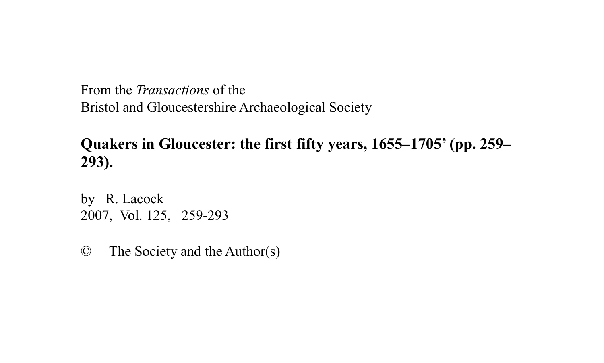From the *Transactions* of the Bristol and Gloucestershire Archaeological Society

# **Quakers in Gloucester: the first fifty years, 1655–1705' (pp. 259– 293).**

by R. Lacock 2007, Vol. 125, 259-293

© The Society and the Author(s)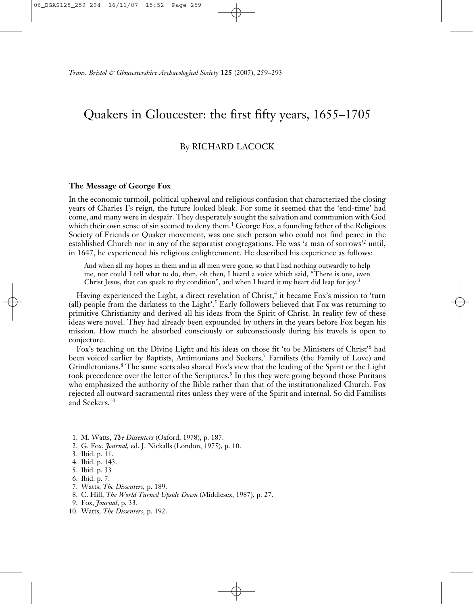# Quakers in Gloucester: the first fifty years, 1655–1705

# By RICHARD LACOCK

# **The Message of George Fox**

In the economic turmoil, political upheaval and religious confusion that characterized the closing years of Charles I's reign, the future looked bleak. For some it seemed that the 'end-time' had come, and many were in despair. They desperately sought the salvation and communion with God which their own sense of sin seemed to deny them. <sup>1</sup> George Fox, a founding father of the Religious Society of Friends or Quaker movement, was one such person who could not find peace in the established Church nor in any of the separatist congregations. He was 'a man of sorrows'<sup>2</sup> until, in 1647, he experienced his religious enlightenment. He described his experience as follows:

And when all my hopes in them and in all men were gone, so that I had nothing outwardly to help me, nor could I tell what to do, then, oh then, I heard a voice which said, "There is one, even Christ Jesus, that can speak to thy condition", and when I heard it my heart did leap for joy.<sup>3</sup>

Having experienced the Light, a direct revelation of Christ, <sup>4</sup> it became Fox's mission to 'turn (all) people from the darkness to the Light'. <sup>5</sup> Early followers believed that Fox was returning to primitive Christianity and derived all his ideas from the Spirit of Christ. In reality few of these ideas were novel. They had already been expounded by others in the years before Fox began his mission. How much he absorbed consciously or subconsciously during his travels is open to conjecture.

Fox's teaching on the Divine Light and his ideas on those fit 'to be Ministers of Christ'<sup>6</sup> had been voiced earlier by Baptists, Antimonians and Seekers, <sup>7</sup> Familists (the Family of Love) and Grindletonians. <sup>8</sup> The same sects also shared Fox's view that the leading of the Spirit or the Light took precedence over the letter of the Scriptures. <sup>9</sup> In this they were going beyond those Puritans who emphasized the authority of the Bible rather than that of the institutionalized Church. Fox rejected all outward sacramental rites unless they were of the Spirit and internal. So did Familists and Seekers. 10

- 1. M. Watts, *The Dissenters* (Oxford, 1978), p. 187.
- 2. G. Fox, *Journal,* ed. J. Nickalls (London, 1975), p. 10.
- 3. Ibid. p. 11.
- 4. Ibid. p. 143.
- 5. Ibid. p. 33
- 6. Ibid. p. 7.
- 7. Watts, *The Dissenters,* p. 189.
- 8. C. Hill, *The World Turned Upside Down* (Middlesex, 1987), p. 27.
- 9. Fox, *Journal*, p. 33.
- 10. Watts, *The Dissenters*, p. 192.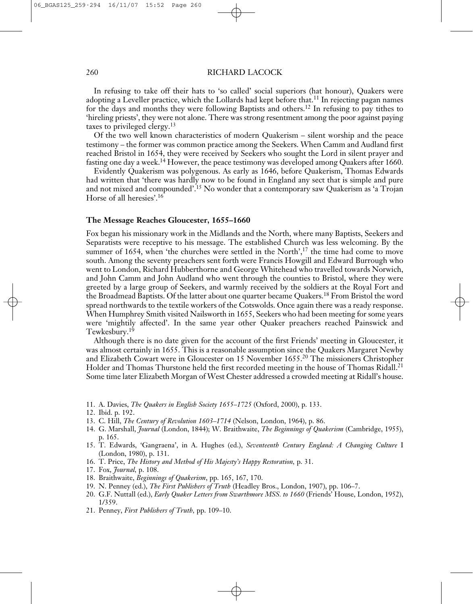In refusing to take off their hats to 'so called' social superiors (hat honour), Quakers were adopting a Leveller practice, which the Lollards had kept before that.<sup>11</sup> In rejecting pagan names for the days and months they were following Baptists and others. <sup>12</sup> In refusing to pay tithes to 'hireling priests', they were not alone. There was strong resentment among the poor against paying taxes to privileged clergy. 13

Of the two well known characteristics of modern Quakerism – silent worship and the peace testimony – the former was common practice among the Seekers. When Camm and Audland first reached Bristol in 1654, they were received by Seekers who sought the Lord in silent prayer and fasting one day a week.<sup>14</sup> However, the peace testimony was developed among Quakers after 1660.

Evidently Quakerism was polygenous. As early as 1646, before Quakerism, Thomas Edwards had written that 'there was hardly now to be found in England any sect that is simple and pure and not mixed and compounded'. <sup>15</sup> No wonder that a contemporary saw Quakerism as 'a Trojan Horse of all heresies'. 16

#### **The Message Reaches Gloucester, 1655–1660**

Fox began his missionary work in the Midlands and the North, where many Baptists, Seekers and Separatists were receptive to his message. The established Church was less welcoming. By the summer of 1654, when 'the churches were settled in the North',<sup>17</sup> the time had come to move south. Among the seventy preachers sent forth were Francis Howgill and Edward Burrough who went to London, Richard Hubberthorne and George Whitehead who travelled towards Norwich, and John Camm and John Audland who went through the counties to Bristol, where they were greeted by a large group of Seekers, and warmly received by the soldiers at the Royal Fort and the Broadmead Baptists. Of the latter about one quarter became Quakers. <sup>18</sup> From Bristol the word spread northwards to the textile workers of the Cotswolds. Once again there was a ready response. When Humphrey Smith visited Nailsworth in 1655, Seekers who had been meeting for some years were 'mightily affected'. In the same year other Quaker preachers reached Painswick and Tewkesbury. 19

Although there is no date given for the account of the first Friends' meeting in Gloucester, it was almost certainly in 1655. This is a reasonable assumption since the Quakers Margaret Newby and Elizabeth Cowart were in Gloucester on 15 November 1655. <sup>20</sup> The missioners Christopher Holder and Thomas Thurstone held the first recorded meeting in the house of Thomas Ridall. 21 Some time later Elizabeth Morgan of West Chester addressed a crowded meeting at Ridall's house.

- 11. A. Davies, *The Quakers in English Society 1655–1725* (Oxford, 2000), p. 133.
- 12. Ibid. p. 192.
- 13. C. Hill, *The Century of Revolution 1603–1714* (Nelson, London, 1964), p. 86.
- 14. G. Marshall, *Journal* (London, 1844); W. Braithwaite, *The Beginnings of Quakerism* (Cambridge, 1955), p. 165.
- 15. T. Edwards, 'Gangraena', in A. Hughes (ed.), *Seventeenth Century England: A Changing Culture* I (London, 1980), p. 131.
- 16. T. Price, *The History and Method of His Majesty's Happy Restoration,* p. 31.
- 17. Fox, *Journal,* p. 108.
- 18. Braithwaite, *Beginnings of Quakerism*, pp. 165, 167, 170.
- 19. N. Penney (ed.), *The First Publishers of Truth* (Headley Bros., London, 1907), pp. 106–7.
- 20. G.F. Nuttall (ed.), *Early Quaker Letters from Swarthmore MSS. to 1660* (Friends' House, London, 1952), 1/359.
- 21. Penney, *First Publishers of Truth,* pp. 109–10.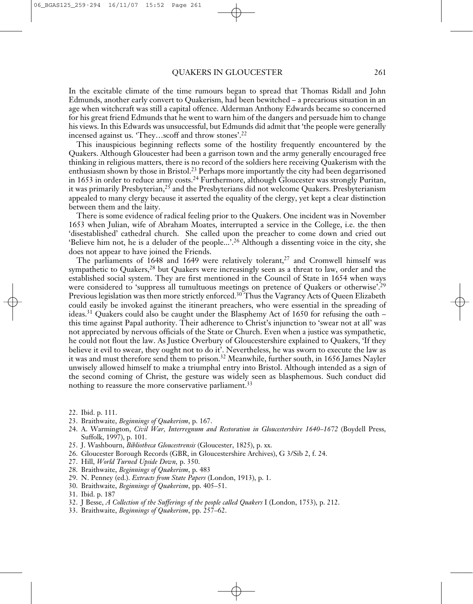In the excitable climate of the time rumours began to spread that Thomas Ridall and John Edmunds, another early convert to Quakerism, had been bewitched – a precarious situation in an age when witchcraft was still a capital offence. Alderman Anthony Edwards became so concerned for his great friend Edmunds that he went to warn him of the dangers and persuade him to change his views. In this Edwards was unsuccessful, but Edmunds did admit that 'the people were generally incensed against us. 'They…scoff and throw stones'. 22

This inauspicious beginning reflects some of the hostility frequently encountered by the Quakers. Although Gloucester had been a garrison town and the army generally encouraged free thinking in religious matters, there is no record of the soldiers here receiving Quakerism with the enthusiasm shown by those in Bristol. <sup>23</sup> Perhaps more importantly the city had been degarrisoned in 1653 in order to reduce army costs. <sup>24</sup> Furthermore, although Gloucester was strongly Puritan, it was primarily Presbyterian, <sup>25</sup> and the Presbyterians did not welcome Quakers. Presbyterianism appealed to many clergy because it asserted the equality of the clergy, yet kept a clear distinction between them and the laity.

There is some evidence of radical feeling prior to the Quakers. One incident was in November 1653 when Julian, wife of Abraham Moates, interrupted a service in the College, i.e. the then 'disestablished' cathedral church. She called upon the preacher to come down and cried out 'Believe him not, he is a deluder of the people...'. <sup>26</sup> Although a dissenting voice in the city, she does not appear to have joined the Friends.

The parliaments of 1648 and 1649 were relatively tolerant, <sup>27</sup> and Cromwell himself was sympathetic to Quakers,<sup>28</sup> but Quakers were increasingly seen as a threat to law, order and the established social system. They are first mentioned in the Council of State in 1654 when ways were considered to 'suppress all tumultuous meetings on pretence of Quakers or otherwise'.<sup>29</sup> Previous legislation was then more strictly enforced.<sup>30</sup> Thus the Vagrancy Acts of Queen Elizabeth could easily be invoked against the itinerant preachers, who were essential in the spreading of ideas. <sup>31</sup> Quakers could also be caught under the Blasphemy Act of 1650 for refusing the oath – this time against Papal authority. Their adherence to Christ's injunction to 'swear not at all' was not appreciated by nervous officials of the State or Church. Even when a justice was sympathetic, he could not flout the law. As Justice Overbury of Gloucestershire explained to Quakers, 'If they believe it evil to swear, they ought not to do it'. Nevertheless, he was sworn to execute the law as it was and must therefore send them to prison. <sup>32</sup> Meanwhile, further south, in 1656 James Nayler unwisely allowed himself to make a triumphal entry into Bristol. Although intended as a sign of the second coming of Christ, the gesture was widely seen as blasphemous. Such conduct did nothing to reassure the more conservative parliament.<sup>33</sup>

- 22. Ibid. p. 111.
- 23. Braithwaite, *Beginnings of Quakerism*, p. 167.
- 24. A. Warmington, *Civil War, Interregnum and Restoration in Gloucestershire 1640–1672* (Boydell Press, Suffolk, 1997), p. 101.
- 25. J. Washbourn, *Bibliotheca Gloucestrensis* (Gloucester, 1825), p. xx.
- 26. Gloucester Borough Records (GBR, in Gloucestershire Archives), G 3/Sib 2, f. 24.
- 27. Hill, *World Turned Upside Down,* p. 350.
- 28. Braithwaite, *Beginnings of Quakerism*, p. 483
- 29. N. Penney (ed.). *Extracts from State Papers* (London, 1913), p. 1.
- 30. Braithwaite, *Beginnings of Quakerism*, pp. 405–51.
- 31. Ibid. p. 187
- 32. J Besse, *A Collection of the Sufferings of the people called Quakers* I (London, 1753), p. 212.
- 33. Braithwaite, *Beginnings of Quakerism*, pp. 257–62.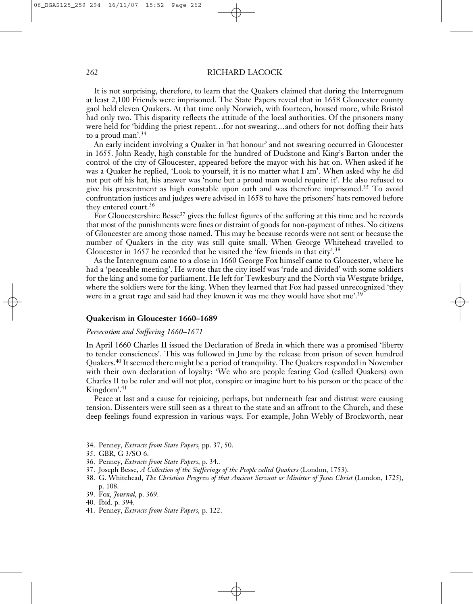It is not surprising, therefore, to learn that the Quakers claimed that during the Interregnum at least 2,100 Friends were imprisoned. The State Papers reveal that in 1658 Gloucester county gaol held eleven Quakers. At that time only Norwich, with fourteen, housed more, while Bristol had only two. This disparity reflects the attitude of the local authorities. Of the prisoners many were held for 'bidding the priest repent…for not swearing…and others for not doffing their hats to a proud man'. 34

An early incident involving a Quaker in 'hat honour' and not swearing occurred in Gloucester in 1655. John Ready, high constable for the hundred of Dudstone and King's Barton under the control of the city of Gloucester, appeared before the mayor with his hat on. When asked if he was a Quaker he replied, 'Look to yourself, it is no matter what I am'. When asked why he did not put off his hat, his answer was 'none but a proud man would require it'. He also refused to give his presentment as high constable upon oath and was therefore imprisoned. <sup>35</sup> To avoid confrontation justices and judges were advised in 1658 to have the prisoners' hats removed before they entered court. 36

For Gloucestershire Besse<sup>37</sup> gives the fullest figures of the suffering at this time and he records that most of the punishments were fines or distraint of goods for non-payment of tithes. No citizens of Gloucester are among those named. This may be because records were not sent or because the number of Quakers in the city was still quite small. When George Whitehead travelled to Gloucester in 1657 he recorded that he visited the 'few friends in that city'.<sup>38</sup>

As the Interregnum came to a close in 1660 George Fox himself came to Gloucester, where he had a 'peaceable meeting'. He wrote that the city itself was 'rude and divided' with some soldiers for the king and some for parliament. He left for Tewkesbury and the North via Westgate bridge, where the soldiers were for the king. When they learned that Fox had passed unrecognized 'they were in a great rage and said had they known it was me they would have shot me'. 39

#### **Quakerism in Gloucester 1660–1689**

# *Persecution and Suffering 1660–1671*

In April 1660 Charles II issued the Declaration of Breda in which there was a promised 'liberty to tender consciences'. This was followed in June by the release from prison of seven hundred Quakers. <sup>40</sup> It seemed there might be a period of tranquility. The Quakers responded in November with their own declaration of loyalty: 'We who are people fearing God (called Quakers) own Charles II to be ruler and will not plot, conspire or imagine hurt to his person or the peace of the Kingdom'. 41

Peace at last and a cause for rejoicing, perhaps, but underneath fear and distrust were causing tension. Dissenters were still seen as a threat to the state and an affront to the Church, and these deep feelings found expression in various ways. For example, John Webly of Brockworth, near

- 34. Penney, *Extracts from State Papers,* pp. 37, 50.
- 35. GBR, G 3/SO 6.
- 36. Penney, *Extracts from State Papers*, p. 34.*.*
- 37. Joseph Besse, *A Collection of the Sufferings of the People called Quakers* (London, 1753).
- 38. G. Whitehead, *The Christian Progress of that Ancient Servant or Minister of Jesus Christ* (London, 1725), p. 108.
- 39. Fox, *Journal,* p. 369.
- 40. Ibid. p. 394.
- 41. Penney, *Extracts from State Papers,* p. 122.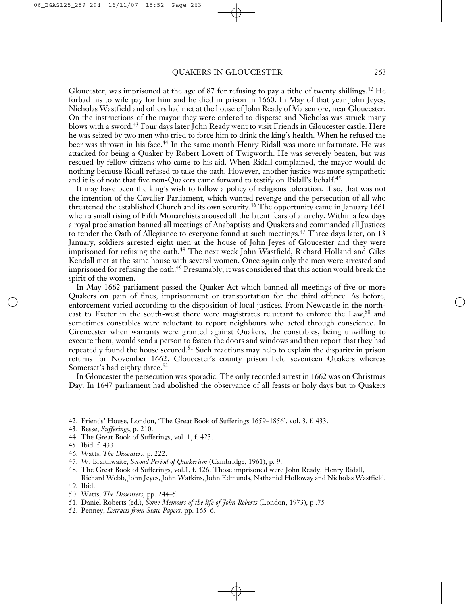Gloucester, was imprisoned at the age of 87 for refusing to pay a tithe of twenty shillings. <sup>42</sup> He forbad his to wife pay for him and he died in prison in 1660. In May of that year John Jeyes, Nicholas Wastfield and others had met at the house of John Ready of Maisemore, near Gloucester. On the instructions of the mayor they were ordered to disperse and Nicholas was struck many blows with a sword. <sup>43</sup> Four days later John Ready went to visit Friends in Gloucester castle. Here he was seized by two men who tried to force him to drink the king's health. When he refused the beer was thrown in his face. <sup>44</sup> In the same month Henry Ridall was more unfortunate. He was attacked for being a Quaker by Robert Lovett of Twigworth. He was severely beaten, but was rescued by fellow citizens who came to his aid. When Ridall complained, the mayor would do nothing because Ridall refused to take the oath. However, another justice was more sympathetic and it is of note that five non-Quakers came forward to testify on Ridall's behalf. 45

It may have been the king's wish to follow a policy of religious toleration. If so, that was not the intention of the Cavalier Parliament, which wanted revenge and the persecution of all who threatened the established Church and its own security. <sup>46</sup> The opportunity came in January 1661 when a small rising of Fifth Monarchists aroused all the latent fears of anarchy. Within a few days a royal proclamation banned all meetings of Anabaptists and Quakers and commanded all Justices to tender the Oath of Allegiance to everyone found at such meetings.<sup>47</sup> Three days later, on 13 January, soldiers arrested eight men at the house of John Jeyes of Gloucester and they were imprisoned for refusing the oath. <sup>48</sup> The next week John Wastfield, Richard Holland and Giles Kendall met at the same house with several women. Once again only the men were arrested and imprisoned for refusing the oath. <sup>49</sup> Presumably, it was considered that this action would break the spirit of the women.

In May 1662 parliament passed the Quaker Act which banned all meetings of five or more Quakers on pain of fines, imprisonment or transportation for the third offence. As before, enforcement varied according to the disposition of local justices. From Newcastle in the northeast to Exeter in the south-west there were magistrates reluctant to enforce the Law,<sup>50</sup> and sometimes constables were reluctant to report neighbours who acted through conscience. In Cirencester when warrants were granted against Quakers, the constables, being unwilling to execute them, would send a person to fasten the doors and windows and then report that they had repeatedly found the house secured. <sup>51</sup> Such reactions may help to explain the disparity in prison returns for November 1662. Gloucester's county prison held seventeen Quakers whereas Somerset's had eighty three. 52

In Gloucester the persecution was sporadic. The only recorded arrest in 1662 was on Christmas Day. In 1647 parliament had abolished the observance of all feasts or holy days but to Quakers

- 42. Friends' House, London, 'The Great Book of Sufferings 1659–1856', vol. 3, f. 433.
- 43. Besse, *Sufferings*, p. 210.
- 44. The Great Book of Sufferings, vol. 1, f. 423.
- 45. Ibid. f. 433.
- 46. Watts, *The Dissenters,* p. 222.
- 47. W. Braithwaite, *Second Period of Quakerism* (Cambridge, 1961), p. 9.
- 48. The Great Book of Sufferings, vol.1, f. 426. Those imprisoned were John Ready, Henry Ridall, Richard Webb, John Jeyes, John Watkins, John Edmunds, Nathaniel Holloway and Nicholas Wastfield. 49. Ibid.
- 50. Watts, *The Dissenters,* pp. 244–5.
- 51. Daniel Roberts (ed.), *Some Memoirs of the life of John Roberts* (London, 1973), p .75
- 52. Penney, *Extracts from State Papers,* pp. 165–6.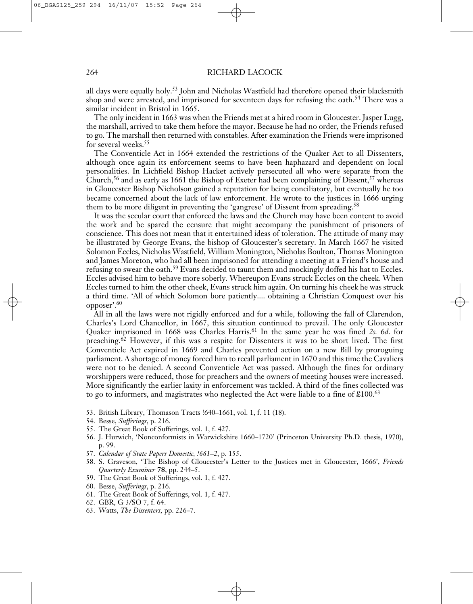all days were equally holy. <sup>53</sup> John and Nicholas Wastfield had therefore opened their blacksmith shop and were arrested, and imprisoned for seventeen days for refusing the oath. <sup>54</sup> There was a similar incident in Bristol in 1665.

The only incident in 1663 was when the Friends met at a hired room in Gloucester. Jasper Lugg, the marshall, arrived to take them before the mayor. Because he had no order, the Friends refused to go. The marshall then returned with constables. After examination the Friends were imprisoned for several weeks. 55

The Conventicle Act in 1664 extended the restrictions of the Quaker Act to all Dissenters, although once again its enforcement seems to have been haphazard and dependent on local personalities. In Lichfield Bishop Hacket actively persecuted all who were separate from the Church,<sup>56</sup> and as early as 1661 the Bishop of Exeter had been complaining of Dissent,<sup>57</sup> whereas in Gloucester Bishop Nicholson gained a reputation for being conciliatory, but eventually he too became concerned about the lack of law enforcement. He wrote to the justices in 1666 urging them to be more diligent in preventing the 'gangrese' of Dissent from spreading.<sup>58</sup>

It was the secular court that enforced the laws and the Church may have been content to avoid the work and be spared the censure that might accompany the punishment of prisoners of conscience. This does not mean that it entertained ideas of toleration. The attitude of many may be illustrated by George Evans, the bishop of Gloucester's secretary. In March 1667 he visited Solomon Eccles, Nicholas Wastfield, William Monington, Nicholas Boulton, Thomas Monington and James Moreton, who had all been imprisoned for attending a meeting at a Friend's house and refusing to swear the oath.<sup>59</sup> Evans decided to taunt them and mockingly doffed his hat to Eccles. Eccles advised him to behave more soberly. Whereupon Evans struck Eccles on the cheek. When Eccles turned to him the other cheek, Evans struck him again. On turning his cheek he was struck a third time. 'All of which Solomon bore patiently.... obtaining a Christian Conquest over his opposer'. 60

All in all the laws were not rigidly enforced and for a while, following the fall of Clarendon, Charles's Lord Chancellor, in 1667, this situation continued to prevail. The only Gloucester Quaker imprisoned in 1668 was Charles Harris. <sup>61</sup> In the same year he was fined *2s.* 6*d*. for preaching. <sup>62</sup> Howeve*r*, if this was a respite for Dissenters it was to be short lived. The first Conventicle Act expired in 1669 and Charles prevented action on a new Bill by proroguing parliament. A shortage of money forced him to recall parliament in 1670 and this time the Cavaliers were not to be denied. A second Conventicle Act was passed. Although the fines for ordinary worshippers were reduced, those for preachers and the owners of meeting houses were increased. More significantly the earlier laxity in enforcement was tackled. A third of the fines collected was to go to informers, and magistrates who neglected the Act were liable to a fine of £100. 63

- 53. British Library, Thomason Tracts !640–1661, vol. 1, f. 11 (18).
- 54. Besse, *Sufferings*, p. 216.
- 55. The Great Book of Sufferings, vol. 1, f. 427.
- 56. J. Hurwich, 'Nonconformists in Warwickshire 1660–1720' (Princeton University Ph.D. thesis, 1970), p. 99.
- 57. *Calendar of State Papers Domestic, !661–2*, p. 155.
- 58. S. Graveson, 'The Bishop of Gloucester's Letter to the Justices met in Gloucester, 1666', *Friends Quarterly Examiner* **78**, pp. 244–5.
- 59. The Great Book of Sufferings, vol. 1, f. 427.
- 60. Besse, *Sufferings*, p. 216.
- 61. The Great Book of Sufferings, vol. 1, f. 427.
- 62. GBR, G 3/SO 7, f. 64.
- 63. Watts, *The Dissenters,* pp. 226–7.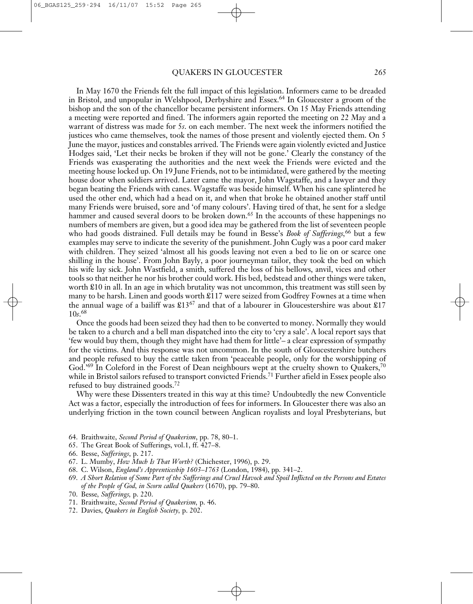In May 1670 the Friends felt the full impact of this legislation. Informers came to be dreaded in Bristol, and unpopular in Welshpool, Derbyshire and Essex. <sup>64</sup> In Gloucester a groom of the bishop and the son of the chancellor became persistent informers. On 15 May Friends attending a meeting were reported and fined. The informers again reported the meeting on 22 May and a warrant of distress was made for 5*s*. on each member. The next week the informers notified the justices who came themselves, took the names of those present and violently ejected them. On 5 June the mayor, justices and constables arrived. The Friends were again violently evicted and Justice Hodges said, 'Let their necks be broken if they will not be gone.' Clearly the constancy of the Friends was exasperating the authorities and the next week the Friends were evicted and the meeting house locked up. On 19 June Friends, not to be intimidated, were gathered by the meeting house door when soldiers arrived. Later came the mayor, John Wagstaffe, and a lawyer and they began beating the Friends with canes. Wagstaffe was beside himself. When his cane splintered he used the other end, which had a head on it, and when that broke he obtained another staff until many Friends were bruised, sore and 'of many colours'. Having tired of that, he sent for a sledge hammer and caused several doors to be broken down.<sup>65</sup> In the accounts of these happenings no numbers of members are given, but a good idea may be gathered from the list of seventeen people who had goods distrained. Full details may be found in Besse's *Book of Sufferings,* <sup>66</sup> but a few examples may serve to indicate the severity of the punishment. John Cugly was a poor card maker with children. They seized 'almost all his goods leaving not even a bed to lie on or scarce one shilling in the house'. From John Bayly, a poor journeyman tailor, they took the bed on which his wife lay sick. John Wastfield, a smith, suffered the loss of his bellows, anvil, vices and other tools so that neither he nor his brother could work. His bed, bedstead and other things were taken, worth £10 in all. In an age in which brutality was not uncommon, this treatment was still seen by many to be harsh. Linen and goods worth £117 were seized from Godfrey Fownes at a time when the annual wage of a bailiff was £1367 and that of a labourer in Gloucestershire was about £17 10*s*. 68

Once the goods had been seized they had then to be converted to money. Normally they would be taken to a church and a bell man dispatched into the city to 'cry a sale'. A local report says that 'few would buy them, though they might have had them for little'– a clear expression of sympathy for the victims. And this response was not uncommon. In the south of Gloucestershire butchers and people refused to buy the cattle taken from 'peaceable people, only for the worshipping of God.'<sup>69</sup> In Coleford in the Forest of Dean neighbours wept at the cruelty shown to Quakers,<sup>70</sup> while in Bristol sailors refused to transport convicted Friends. <sup>71</sup> Further afield in Essex people also refused to buy distrained goods. 72

Why were these Dissenters treated in this way at this time? Undoubtedly the new Conventicle Act was a factor, especially the introduction of fees for informers. In Gloucester there was also an underlying friction in the town council between Anglican royalists and loyal Presbyterians, but

- 64. Braithwaite, *Second Period of Quakerism*, pp. 78, 80–1.
- 65. The Great Book of Sufferings, vol.1, ff. 427–8.
- 66. Besse, *Sufferings*, p. 217.
- 67. L. Mumby, *How Much Is That Worth?* (Chichester, 1996), p. 29.
- 68. C. Wilson, *England's Apprenticeship 1603–1763* (London, 1984), pp. 341–2.
- 69. A Short Relation of Some Part of the Sufferings and Cruel Havock and Spoil Inflicted on the Persons and Estates *of the People of God, in Scorn called Quakers* (1670), pp. 79–80.
- 70. Besse*, Sufferings,* p. 220.
- 71. Braithwaite, *Second Period of Quakerism,* p. 46.
- 72. Davies, *Quakers in English Society,* p. 202.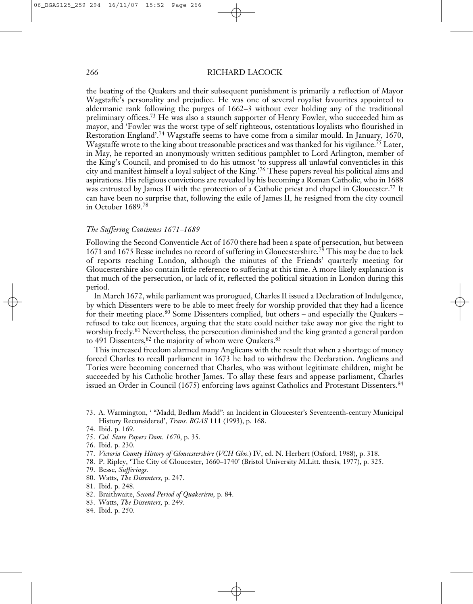the beating of the Quakers and their subsequent punishment is primarily a reflection of Mayor Wagstaffe's personality and prejudice. He was one of several royalist favourites appointed to aldermanic rank following the purges of 1662–3 without ever holding any of the traditional preliminary offices.<sup>73</sup> He was also a staunch supporter of Henry Fowler, who succeeded him as mayor, and 'Fowler was the worst type of self righteous, ostentatious loyalists who flourished in Restoration England'. <sup>74</sup> Wagstaffe seems to have come from a similar mould. In January, 1670, Wagstaffe wrote to the king about treasonable practices and was thanked for his vigilance. <sup>75</sup> Later, in May, he reported an anonymously written seditious pamphlet to Lord Arlington, member of the King's Council, and promised to do his utmost 'to suppress all unlawful conventicles in this city and manifest himself a loyal subject of the King.' <sup>76</sup> These papers reveal his political aims and aspirations. His religious convictions are revealed by his becoming a Roman Catholic, who in 1688 was entrusted by James II with the protection of a Catholic priest and chapel in Gloucester. <sup>77</sup> It can have been no surprise that, following the exile of James II, he resigned from the city council in October 1689. 78

#### *The Suffering Continues 1671–1689*

Following the Second Conventicle Act of 1670 there had been a spate of persecution, but between 1671 and 1675 Besse includes no record of suffering in Gloucestershire. <sup>79</sup> This may be due to lack of reports reaching London, although the minutes of the Friends' quarterly meeting for Gloucestershire also contain little reference to suffering at this time. A more likely explanation is that much of the persecution, or lack of it, reflected the political situation in London during this period.

In March 1672, while parliament was prorogued, Charles II issued a Declaration of Indulgence, by which Dissenters were to be able to meet freely for worship provided that they had a licence for their meeting place.<sup>80</sup> Some Dissenters complied, but others - and especially the Quakers refused to take out licences, arguing that the state could neither take away nor give the right to worship freely. <sup>81</sup> Nevertheless, the persecution diminished and the king granted a general pardon to 491 Dissenters,<sup>82</sup> the majority of whom were Quakers.<sup>83</sup>

This increased freedom alarmed many Anglicans with the result that when a shortage of money forced Charles to recall parliament in 1673 he had to withdraw the Declaration. Anglicans and Tories were becoming concerned that Charles, who was without legitimate children, might be succeeded by his Catholic brother James. To allay these fears and appease parliament, Charles issued an Order in Council (1675) enforcing laws against Catholics and Protestant Dissenters. 84

- 73. A. Warmington, ' "Madd, Bedlam Madd": an Incident in Gloucester's Seventeenth-century Municipal History Reconsidered', *Trans. BGAS* **111** (1993), p. 168.
- 74. Ibid. p. 169.
- 75. *Cal. State Papers Dom. 1670*, p. 35.
- 76. Ibid. p. 230.
- 77. *Victoria County History of Gloucestershire* (*VCH Glos.*) IV, ed. N. Herbert (Oxford, 1988), p. 318.
- 78. P. Ripley, 'The City of Gloucester, 1660–1740' (Bristol University M.Litt. thesis, 1977), p. 325.
- 79. Besse, *Sufferings.*
- 80. Watts, *The Dissenters,* p. 247.
- 81. Ibid. p. 248.
- 82. Braithwaite, *Second Period of Quakerism,* p. 84.
- 83. Watts, *The Dissenters,* p. 249.
- 84. Ibid. p. 250.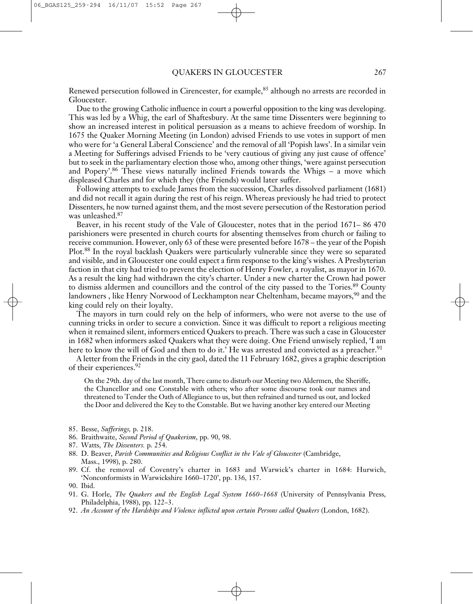Renewed persecution followed in Cirencester, for example, <sup>85</sup> although no arrests are recorded in Gloucester.

Due to the growing Catholic influence in court a powerful opposition to the king was developing. This was led by a Whig, the earl of Shaftesbury. At the same time Dissenters were beginning to show an increased interest in political persuasion as a means to achieve freedom of worship. In 1675 the Quaker Morning Meeting (in London) advised Friends to use votes in support of men who were for 'a General Liberal Conscience' and the removal of all 'Popish laws'. In a similar vein a Meeting for Sufferings advised Friends to be 'very cautious of giving any just cause of offence' but to seek in the parliamentary election those who, among other things, 'were against persecution and Popery'. <sup>86</sup> These views naturally inclined Friends towards the Whigs – a move which displeased Charles and for which they (the Friends) would later suffer.

Following attempts to exclude James from the succession, Charles dissolved parliament (1681) and did not recall it again during the rest of his reign. Whereas previously he had tried to protect Dissenters, he now turned against them, and the most severe persecution of the Restoration period was unleashed. 87

Beaver, in his recent study of the Vale of Gloucester, notes that in the period 1671– 86 470 parishioners were presented in church courts for absenting themselves from church or failing to receive communion. However, only 63 of these were presented before 1678 – the year of the Popish Plot. <sup>88</sup> In the royal backlash Quakers were particularly vulnerable since they were so separated and visible, and in Gloucester one could expect a firm response to the king's wishes. A Presbyterian faction in that city had tried to prevent the election of Henry Fowler, a royalist, as mayor in 1670. As a result the king had withdrawn the city's charter. Under a new charter the Crown had power to dismiss aldermen and councillors and the control of the city passed to the Tories.<sup>89</sup> County landowners , like Henry Norwood of Leckhampton near Cheltenham, became mayors, $\rm{^{90}}$  and the king could rely on their loyalty.

The mayors in turn could rely on the help of informers, who were not averse to the use of cunning tricks in order to secure a conviction. Since it was difficult to report a religious meeting when it remained silent, informers enticed Quakers to preach. There was such a case in Gloucester in 1682 when informers asked Quakers what they were doing. One Friend unwisely replied, 'I am here to know the will of God and then to do it.' He was arrested and convicted as a preacher.<sup>91</sup>

A letter from the Friends in the city gaol, dated the 11 February 1682, gives a graphic description of their experiences. 92

On the 29th. day of the last month, There came to disturb our Meeting two Aldermen, the Sheriffe, the Chancellor and one Constable with others; who after some discourse took our names and threatened to Tender the Oath of Allegiance to us, but then refrained and turned us out, and locked the Door and delivered the Key to the Constable. But we having another key entered our Meeting

- 85. Besse, *Sufferings,* p. 218.
- 86. Braithwaite, *Second Period of Quakerism*, pp. 90, 98.
- 87. Watts, *The Dissenters.* p. 254.
- 88. D. Beaver, *Parish Communities and Religious Conflict in the Vale of Gloucester* (Cambridge, Mass., 1998), p. 280.
- 89. Cf. the removal of Coventry's charter in 1683 and Warwick's charter in 1684: Hurwich, 'Nonconformists in Warwickshire 1660–1720', pp. 136, 157.
- 90. Ibid.
- 91. G. Horle, *The Quakers and the English Legal System 1660–1668* (University of Pennsylvania Press, Philadelphia, 1988), pp. 122–3.
- 92. *An Account of the Hardships and Violence inflicted upon certain Persons called Quakers* (London, 1682).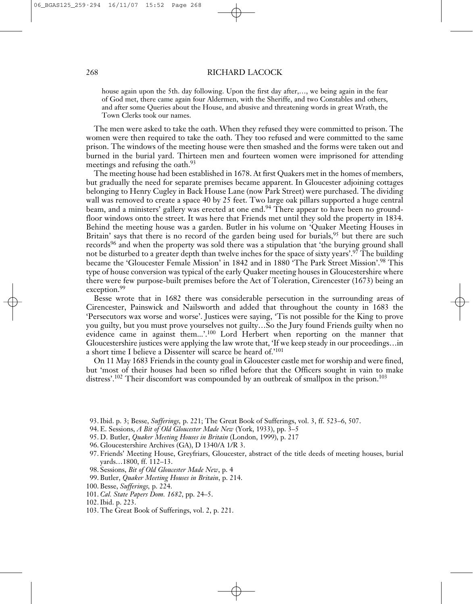house again upon the 5th. day following. Upon the first day after,…, we being again in the fear of God met, there came again four Aldermen, with the Sheriffe, and two Constables and others, and after some Queries about the House, and abusive and threatening words in great Wrath, the Town Clerks took our names.

The men were asked to take the oath. When they refused they were committed to prison. The women were then required to take the oath. They too refused and were committed to the same prison. The windows of the meeting house were then smashed and the forms were taken out and burned in the burial yard. Thirteen men and fourteen women were imprisoned for attending meetings and refusing the oath. 93

The meeting house had been established in 1678. At first Quakers met in the homes of members, but gradually the need for separate premises became apparent. In Gloucester adjoining cottages belonging to Henry Cugley in Back House Lane (now Park Street) were purchased. The dividing wall was removed to create a space 40 by 25 feet. Two large oak pillars supported a huge central beam, and a ministers' gallery was erected at one end.<sup>94</sup> There appear to have been no groundfloor windows onto the street. It was here that Friends met until they sold the property in 1834. Behind the meeting house was a garden. Butler in his volume on 'Quaker Meeting Houses in Britain' says that there is no record of the garden being used for burials,<sup>95</sup> but there are such records<sup>96</sup> and when the property was sold there was a stipulation that 'the burying ground shall not be disturbed to a greater depth than twelve inches for the space of sixty years'. <sup>97</sup> The building became the 'Gloucester Female Mission' in 1842 and in 1880 'The Park Street Mission'. <sup>98</sup> This type of house conversion was typical of the early Quaker meeting houses in Gloucestershire where there were few purpose-built premises before the Act of Toleration, Cirencester (1673) being an exception. 99

Besse wrote that in 1682 there was considerable persecution in the surrounding areas of Cirencester, Painswick and Nailsworth and added that throughout the county in 1683 the 'Persecutors wax worse and worse'. Justices were saying, 'Tis not possible for the King to prove you guilty, but you must prove yourselves not guilty…So the Jury found Friends guilty when no evidence came in against them...'.<sup>100</sup> Lord Herbert when reporting on the manner that Gloucestershire justices were applying the law wrote that, 'If we keep steady in our proceedings…in a short time I believe a Dissenter will scarce be heard of.' 101

On 11 May 1683 Friends in the county goal in Gloucester castle met for worship and were fined, but 'most of their houses had been so rifled before that the Officers sought in vain to make distress'.<sup>102</sup> Their discomfort was compounded by an outbreak of smallpox in the prison.<sup>103</sup>

- 93.Ibid. p. 3; Besse, *Sufferings,* p. 221; The Great Book of Sufferings, vol. 3, ff. 523–6, 507.
- 94. E. Sessions, *A Bit of Old Gloucester Made New* (York, 1933), pp. 3–5
- 95. D. Butler, *Quaker Meeting Houses in Britain* (London, 1999), p. 217
- 96. Gloucestershire Archives (GA), D 1340/A 1/R 3.
- 97. Friends' Meeting House, Greyfriars, Gloucester, abstract of the title deeds of meeting houses, burial yards…1800, ff. 112–13.
- 98. Sessions, *Bit of Old Gloucester Made New*, p. 4
- 99. Butler, *Quaker Meeting Houses in Britain*, p. 214.
- 100. Besse, *Sufferings,* p. 224.
- 101. *Cal. State Papers Dom. 1682*, pp. 24–5.
- 102.Ibid. p. 223.
- 103. The Great Book of Sufferings, vol. 2, p. 221.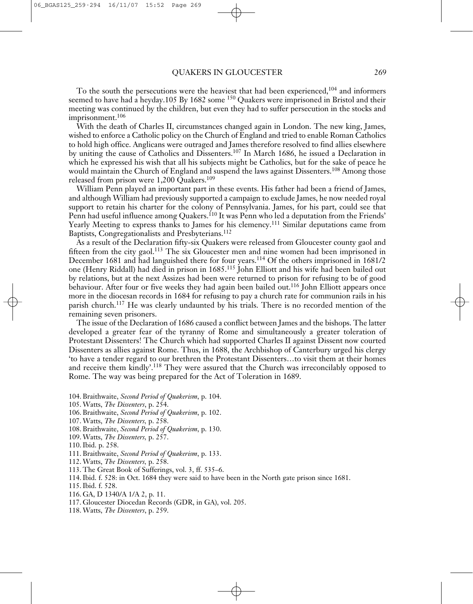To the south the persecutions were the heaviest that had been experienced, <sup>104</sup> and informers seemed to have had a heyday.105 By 1682 some  $150$  Quakers were imprisoned in Bristol and their meeting was continued by the children, but even they had to suffer persecution in the stocks and imprisonment. 106

With the death of Charles II, circumstances changed again in London. The new king, James, wished to enforce a Catholic policy on the Church of England and tried to enable Roman Catholics to hold high office. Anglicans were outraged and James therefore resolved to find allies elsewhere by uniting the cause of Catholics and Dissenters. <sup>107</sup> In March 1686, he issued a Declaration in which he expressed his wish that all his subjects might be Catholics, but for the sake of peace he would maintain the Church of England and suspend the laws against Dissenters. <sup>108</sup> Among those released from prison were 1,200 Quakers. 109

William Penn played an important part in these events. His father had been a friend of James, and although William had previously supported a campaign to exclude James, he now needed royal support to retain his charter for the colony of Pennsylvania. James, for his part, could see that Penn had useful influence among Quakers.<sup>110</sup> It was Penn who led a deputation from the Friends' Yearly Meeting to express thanks to James for his clemency. <sup>111</sup> Similar deputations came from Baptists, Congregationalists and Presbyterians. 112

As a result of the Declaration fifty-six Quakers were released from Gloucester county gaol and fifteen from the city gaol.<sup>113</sup> The six Gloucester men and nine women had been imprisoned in December 1681 and had languished there for four years. <sup>114</sup> Of the others imprisoned in 1681/2 one (Henry Riddall) had died in prison in 1685. <sup>115</sup> John Elliott and his wife had been bailed out by relations, but at the next Assizes had been were returned to prison for refusing to be of good behaviour. After four or five weeks they had again been bailed out.<sup>116</sup> John Elliott appears once more in the diocesan records in 1684 for refusing to pay a church rate for communion rails in his parish church.<sup>117</sup> He was clearly undaunted by his trials. There is no recorded mention of the remaining seven prisoners.

The issue of the Declaration of 1686 caused a conflict between James and the bishops. The latter developed a greater fear of the tyranny of Rome and simultaneously a greater toleration of Protestant Dissenters! The Church which had supported Charles II against Dissent now courted Dissenters as allies against Rome. Thus, in 1688, the Archbishop of Canterbury urged his clergy 'to have a tender regard to our brethren the Protestant Dissenters…to visit them at their homes and receive them kindly'.<sup>118</sup> They were assured that the Church was irreconcilably opposed to Rome. The way was being prepared for the Act of Toleration in 1689.

- 104. Braithwaite, *Second Period of Quakerism*, p. 104.
- 105. Watts, *The Dissenters*, p. 254.
- 106. Braithwaite, *Second Period of Quakerism*, p. 102.
- 107. Watts, *The Dissenters,* p. 258.
- 108. Braithwaite, *Second Period of Quakerism*, p. 130.
- 109. Watts, *The Dissenters,* p. 257.
- 110.Ibid. p. 258.
- 111. Braithwaite, *Second Period of Quakerism*, p. 133.
- 112. Watts, *The Dissenters,* p. 258.
- 113. The Great Book of Sufferings, vol. 3, ff. 535–6.
- 114.Ibid. f. 528: in Oct. 1684 they were said to have been in the North gate prison since 1681.
- 115.Ibid. f. 528.
- 116. GA, D 1340/A 1/A 2, p. 11.
- 117. Gloucester Diocedan Records (GDR, in GA), vol. 205.
- 118. Watts, *The Dissenters*, p. 259.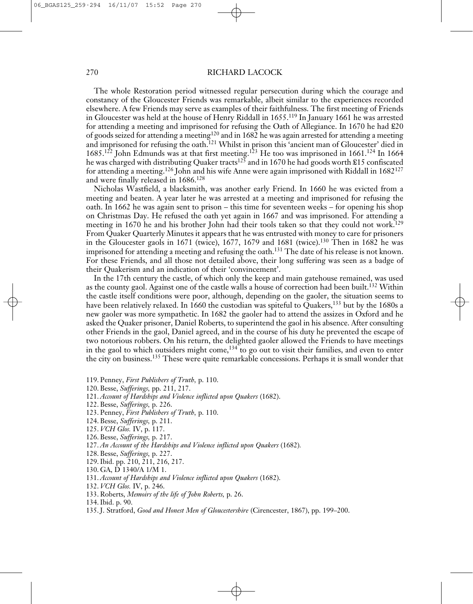The whole Restoration period witnessed regular persecution during which the courage and constancy of the Gloucester Friends was remarkable, albeit similar to the experiences recorded elsewhere. A few Friends may serve as examples of their faithfulness. The first meeting of Friends in Gloucester was held at the house of Henry Riddall in 1655. <sup>119</sup> In January 1661 he was arrested for attending a meeting and imprisoned for refusing the Oath of Allegiance. In 1670 he had £20 of goods seized for attending a meeting<sup>120</sup> and in 1682 he was again arrested for attending a meeting and imprisoned for refusing the oath. <sup>121</sup> Whilst in prison this 'ancient man of Gloucester' died in 1685.<sup>122</sup> John Edmunds was at that first meeting.<sup>123</sup> He too was imprisoned in 1661.<sup>124</sup> In 1664 he was charged with distributing Quaker tracts $^{125}$  and in 1670 he had goods worth £15 confiscated for attending a meeting. <sup>126</sup> John and his wife Anne were again imprisoned with Riddall in 1682127 and were finally released in 1686. 128

Nicholas Wastfield, a blacksmith, was another early Friend. In 1660 he was evicted from a meeting and beaten. A year later he was arrested at a meeting and imprisoned for refusing the oath. In 1662 he was again sent to prison – this time for seventeen weeks – for opening his shop on Christmas Day. He refused the oath yet again in 1667 and was imprisoned. For attending a meeting in 1670 he and his brother John had their tools taken so that they could not work. 129 From Quaker Quarterly Minutes it appears that he was entrusted with money to care for prisoners in the Gloucester gaols in 1671 (twice), 1677, 1679 and 1681 (twice). <sup>130</sup> Then in 1682 he was imprisoned for attending a meeting and refusing the oath. <sup>131</sup> The date of his release is not known. For these Friends, and all those not detailed above, their long suffering was seen as a badge of their Quakerism and an indication of their 'convincement'.

In the 17th century the castle, of which only the keep and main gatehouse remained, was used as the county gaol. Against one of the castle walls a house of correction had been built.<sup>132</sup> Within the castle itself conditions were poor, although, depending on the gaoler, the situation seems to have been relatively relaxed. In 1660 the custodian was spiteful to Quakers,<sup>133</sup> but by the 1680s a new gaoler was more sympathetic. In 1682 the gaoler had to attend the assizes in Oxford and he asked the Quaker prisoner, Daniel Roberts, to superintend the gaol in his absence. After consulting other Friends in the gaol, Daniel agreed, and in the course of his duty he prevented the escape of two notorious robbers. On his return, the delighted gaoler allowed the Friends to have meetings in the gaol to which outsiders might come, $^{134}$  to go out to visit their families, and even to enter the city on business.<sup>135</sup> These were quite remarkable concessions. Perhaps it is small wonder that

- 119. Penney, *First Publishers of Truth,* p. 110.
- 120. Besse, *Sufferings,* pp. 211, 217.
- 121. *Account of Hardships and Violence inflicted upon Quakers* (1682).
- 122. Besse, *Sufferings,* p. 226.
- 123. Penney, *First Publishers of Truth,* p. 110.
- 124. Besse, *Sufferings,* p. 211.
- 125. *VCH Glos.* IV, p. 117.
- 126. Besse, *Sufferings,* p. 217.
- 127. *An Account of the Hardships and Violence inflicted upon Quakers* (1682)*.*
- 128. Besse, *Sufferings,* p. 227.
- 129.Ibid. pp. 210, 211, 216, 217.
- 130. GA, D 1340/A 1/M 1.
- 131. *Account of Hardships and Violence inflicted upon Quakers* (1682).
- 132. *VCH Glos.* IV, p. 246.
- 133. Roberts, *Memoirs of the life of John Roberts,* p. 26.
- 134.Ibid. p. 90.
- 135.J. Stratford, *Good and Honest Men of Gloucestershire* (Cirencester, 1867), pp. 199–200.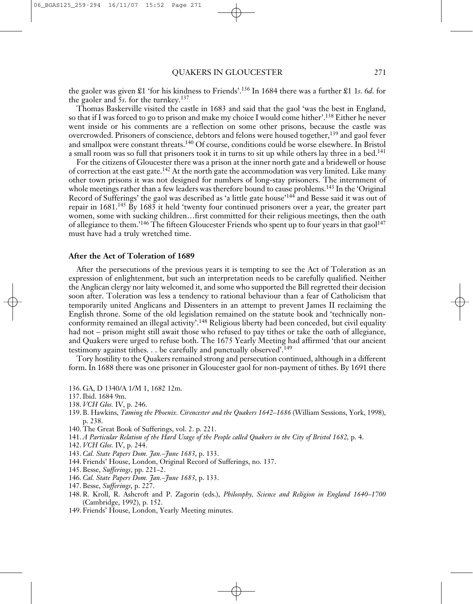the gaoler was given £1 'for his kindness to Friends'. <sup>136</sup> In 1684 there was a further £1 1*s*. 6*d*. for the gaoler and 5*s*. for the turnkey. 137

Thomas Baskerville visited the castle in 1683 and said that the gaol 'was the best in England, so that if I was forced to go to prison and make my choice I would come hither'. <sup>138</sup> Either he never went inside or his comments are a reflection on some other prisons, because the castle was overcrowded. Prisoners of conscience, debtors and felons were housed together, <sup>139</sup> and gaol fever and smallpox were constant threats. <sup>140</sup> Of course, conditions could be worse elsewhere. In Bristol a small room was so full that prisoners took it in turns to sit up while others lay three in a bed.<sup>141</sup>

For the citizens of Gloucester there was a prison at the inner north gate and a bridewell or house of correction at the east gate.<sup>142</sup> At the north gate the accommodation was very limited. Like many other town prisons it was not designed for numbers of long-stay prisoners. The internment of whole meetings rather than a few leaders was therefore bound to cause problems.<sup>143</sup> In the 'Original Record of Sufferings' the gaol was described as 'a little gate house'<sup>144</sup> and Besse said it was out of repair in 1681. <sup>145</sup> By 1683 it held 'twenty four continued prisoners over a year, the greater part women, some with sucking children…first committed for their religious meetings, then the oath of allegiance to them.'<sup>146</sup> The fifteen Gloucester Friends who spent up to four years in that gaol<sup>147</sup> must have had a truly wretched time.

#### **After the Act of Toleration of 1689**

After the persecutions of the previous years it is tempting to see the Act of Toleration as an expression of enlightenment, but such an interpretation needs to be carefully qualified. Neither the Anglican clergy nor laity welcomed it, and some who supported the Bill regretted their decision soon after. Toleration was less a tendency to rational behaviour than a fear of Catholicism that temporarily united Anglicans and Dissenters in an attempt to prevent James II reclaiming the English throne. Some of the old legislation remained on the statute book and 'technically nonconformity remained an illegal activity'. <sup>148</sup> Religious liberty had been conceded, but civil equality had not – prison might still await those who refused to pay tithes or take the oath of allegiance, and Quakers were urged to refuse both. The 1675 Yearly Meeting had affirmed 'that our ancient testimony against tithes. . . be carefully and punctually observed'.<sup>149</sup>

Tory hostility to the Quakers remained strong and persecution continued, although in a different form. In 1688 there was one prisoner in Gloucester gaol for non-payment of tithes. By 1691 there

- 136. GA, D 1340/A 1/M 1, 1682 12m.
- 137.Ibid. 1684 9m.
- 138. *VCH Glos.* IV, p. 246.
- 139. B. Hawkins, *Taming the Phoenix. Cirencester and the Quakers 1642–1686* (William Sessions, York, 1998), p. 238.
- 140. The Great Book of Sufferings, vol. 2. p. 221.
- 141. A Particular Relation of the Hard Usage of the People called Quakers in the City of Bristol 1682, p. 4.
- 142. *VCH Glos.* IV, p. 244.
- 143. *Cal. State Papers Dom. Jan.–June 1683*, p. 133.
- 144. Friends' House, London, Original Record of Sufferings, no. 137.
- 145. Besse, *Sufferings*, pp. 221–2.
- 146. *Cal. State Papers Dom. Jan.–June 1683*, p. 133.
- 147. Besse, *Sufferings*, p. 227.
- 148. R. Kroll, R. Ashcroft and P. Zagorin (eds.), *Philosophy, Science and Religion in England 1640–1700* (Cambridge, 1992), p. 152.
- 149. Friends' House, London, Yearly Meeting minutes.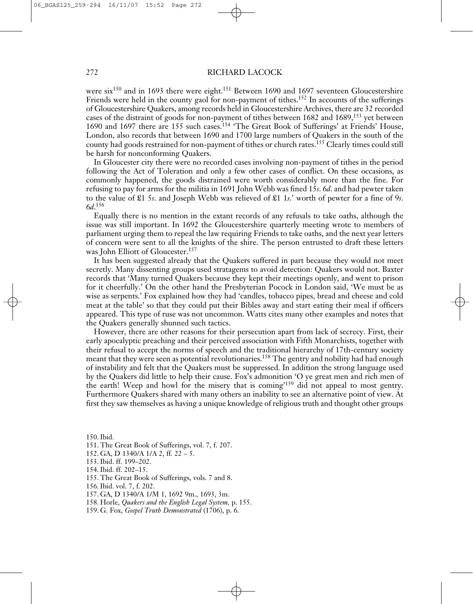were six<sup>150</sup> and in 1693 there were eight.<sup>151</sup> Between 1690 and 1697 seventeen Gloucestershire Friends were held in the county gaol for non-payment of tithes.<sup>152</sup> In accounts of the sufferings of Gloucestershire Quakers, among records held in Gloucestershire Archives, there are 32 recorded cases of the distraint of goods for non-payment of tithes between 1682 and 1689, <sup>153</sup> yet between 1690 and 1697 there are 155 such cases. <sup>154</sup> 'The Great Book of Sufferings' at Friends' House, London, also records that between 1690 and 1700 large numbers of Quakers in the south of the county had goods restrained for non-payment of tithes or church rates. <sup>155</sup> Clearly times could still be harsh for nonconforming Quakers.

In Gloucester city there were no recorded cases involving non-payment of tithes in the period following the Act of Toleration and only a few other cases of conflict. On these occasions, as commonly happened, the goods distrained were worth considerably more than the fine. For refusing to pay for arms for the militia in 1691 John Webb was fined 15*s*. 6*d*. and had pewter taken to the value of £1 5*s*. and Joseph Webb was relieved of £1 1*s*.' worth of pewter for a fine of 9*s*. 6*d*. 156

Equally there is no mention in the extant records of any refusals to take oaths, although the issue was still important. In 1692 the Gloucestershire quarterly meeting wrote to members of parliament urging them to repeal the law requiring Friends to take oaths, and the next year letters of concern were sent to all the knights of the shire. The person entrusted to draft these letters was John Elliott of Gloucester. 157

It has been suggested already that the Quakers suffered in part because they would not meet secretly. Many dissenting groups used stratagems to avoid detection: Quakers would not. Baxter records that 'Many turned Quakers because they kept their meetings openly, and went to prison for it cheerfully.' On the other hand the Presbyterian Pocock in London said, 'We must be as wise as serpents.' Fox explained how they had 'candles, tobacco pipes, bread and cheese and cold meat at the table' so that they could put their Bibles away and start eating their meal if officers appeared. This type of ruse was not uncommon. Watts cites many other examples and notes that the Quakers generally shunned such tactics.

However, there are other reasons for their persecution apart from lack of secrecy. First, their early apocalyptic preaching and their perceived association with Fifth Monarchists, together with their refusal to accept the norms of speech and the traditional hierarchy of 17th-century society meant that they were seen as potential revolutionaries. <sup>158</sup> The gentry and nobility had had enough of instability and felt that the Quakers must be suppressed. In addition the strong language used by the Quakers did little to help their cause. Fox's admonition 'O ye great men and rich men of the earth! Weep and howl for the misery that is coming<sup>159</sup> did not appeal to most gentry. Furthermore Quakers shared with many others an inability to see an alternative point of view. At first they saw themselves as having a unique knowledge of religious truth and thought other groups

150.Ibid.

- 151. The Great Book of Sufferings, vol. 7, f. 207.
- 152. GA, D 1340/A 1/A 2, ff. 22 5.
- 153.Ibid. ff. 199–202.
- 154.Ibid. ff. 202–15.
- 155. The Great Book of Sufferings, vols. 7 and 8.
- 156*.*Ibid. vol. 7, f. 202.
- 157. GA, D 1340/A 1/M 1, 1692 9m., 1693, 3m.
- 158. Horle, *Quakers and the English Legal System,* p. 155.
- 159. G. Fox, *Gospel Truth Demonstrated* (1706), p. 6.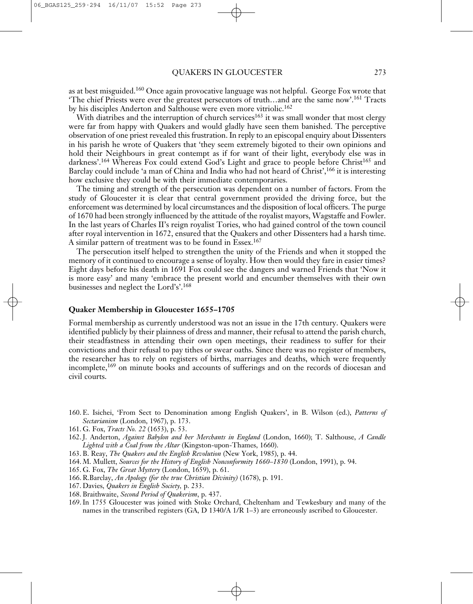as at best misguided.<sup>160</sup> Once again provocative language was not helpful. George Fox wrote that 'The chief Priests were ever the greatest persecutors of truth...and are the same now'.<sup>161</sup> Tracts by his disciples Anderton and Salthouse were even more vitriolic.<sup>162</sup>

With diatribes and the interruption of church services<sup>163</sup> it was small wonder that most clergy were far from happy with Quakers and would gladly have seen them banished. The perceptive observation of one priest revealed this frustration. In reply to an episcopal enquiry about Dissenters in his parish he wrote of Quakers that 'they seem extremely bigoted to their own opinions and hold their Neighbours in great contempt as if for want of their light, everybody else was in darkness'.<sup>164</sup> Whereas Fox could extend God's Light and grace to people before Christ<sup>165</sup> and Barclay could include 'a man of China and India who had not heard of Christ',<sup>166</sup> it is interesting how exclusive they could be with their immediate contemporaries.

The timing and strength of the persecution was dependent on a number of factors. From the study of Gloucester it is clear that central government provided the driving force, but the enforcement was determined by local circumstances and the disposition of local officers. The purge of 1670 had been strongly influenced by the attitude of the royalist mayors, Wagstaffe and Fowler. In the last years of Charles II's reign royalist Tories, who had gained control of the town council after royal intervention in 1672, ensured that the Quakers and other Dissenters had a harsh time. A similar pattern of treatment was to be found in Essex. 167

The persecution itself helped to strengthen the unity of the Friends and when it stopped the memory of it continued to encourage a sense of loyalty. How then would they fare in easier times? Eight days before his death in 1691 Fox could see the dangers and warned Friends that 'Now it is more easy' and many 'embrace the present world and encumber themselves with their own businesses and neglect the Lord's'. 168

# **Quaker Membership in Gloucester 1655–1705**

Formal membership as currently understood was not an issue in the 17th century. Quakers were identified publicly by their plainness of dress and manner, their refusal to attend the parish church, their steadfastness in attending their own open meetings, their readiness to suffer for their convictions and their refusal to pay tithes or swear oaths. Since there was no register of members, the researcher has to rely on registers of births, marriages and deaths, which were frequently incomplete, <sup>169</sup> on minute books and accounts of sufferings and on the records of diocesan and civil courts.

- 160. E. Isichei, 'From Sect to Denomination among English Quakers', in B. Wilson (ed.), *Patterns of Sectarianism* (London, 1967), p. 173.
- 161. G. Fox, *Tracts No. 22* (1653), p. 53.
- 162.J. Anderton, *Against Babylon and her Merchants in England* (London, 1660); T. Salthouse, *A Candle Lighted with a Coal from the Altar* (Kingston-upon-Thames, 1660).
- 163. B. Reay, *The Quakers and the English Revolution* (New York, 1985), p. 44.
- 164. M. Mullett, *Sources for the History of English Nonconformity 1660–1830* (London, 1991), p. 94.
- 165. G. Fox, *The Great Mystery* (London, 1659), p. 61.
- 166. R.Barclay, *An Apology (for the true Christian Divinity)* (1678), p. 191.
- 167. Davies, *Quakers in English Society,* p. 233.
- 168. Braithwaite, *Second Period of Quakerism*, p. 437.
- 169.In 1755 Gloucester was joined with Stoke Orchard, Cheltenham and Tewkesbury and many of the names in the transcribed registers (GA, D 1340/A 1/R 1–3) are erroneously ascribed to Gloucester.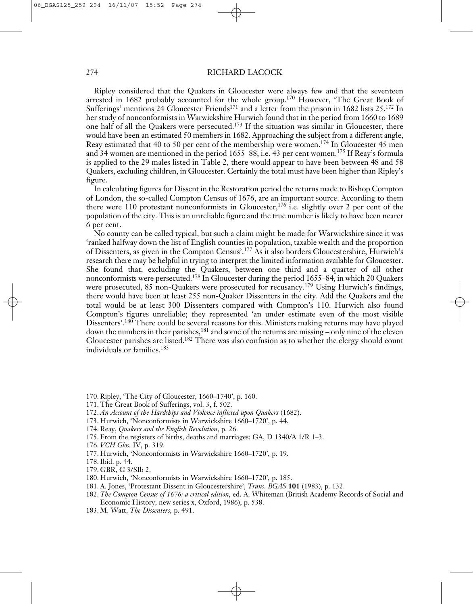Ripley considered that the Quakers in Gloucester were always few and that the seventeen arrested in 1682 probably accounted for the whole group.<sup>170</sup> However, 'The Great Book of Sufferings' mentions 24 Gloucester Friends<sup>171</sup> and a letter from the prison in 1682 lists 25.<sup>172</sup> In her study of nonconformists in Warwickshire Hurwich found that in the period from 1660 to 1689 one half of all the Quakers were persecuted. <sup>173</sup> If the situation was similar in Gloucester, there would have been an estimated 50 members in 1682. Approaching the subject from a different angle, Reay estimated that 40 to 50 per cent of the membership were women. <sup>174</sup> In Gloucester 45 men and 34 women are mentioned in the period 1655–88, i.e. 43 per cent women. <sup>175</sup> If Reay's formula is applied to the 29 males listed in Table 2, there would appear to have been between 48 and 58 Quakers, excluding children, in Gloucester. Certainly the total must have been higher than Ripley's figure.

In calculating figures for Dissent in the Restoration period the returns made to Bishop Compton of London, the so-called Compton Census of 1676, are an important source. According to them there were 110 protestant nonconformists in Gloucester, <sup>176</sup> i.e. slightly over 2 per cent of the population of the city. This is an unreliable figure and the true number is likely to have been nearer 6 per cent.

No county can be called typical, but such a claim might be made for Warwickshire since it was 'ranked halfway down the list of English counties in population, taxable wealth and the proportion of Dissenters, as given in the Compton Census'. <sup>177</sup> As it also borders Gloucestershire, Hurwich's research there may be helpful in trying to interpret the limited information available for Gloucester. She found that, excluding the Quakers, between one third and a quarter of all other nonconformists were persecuted. <sup>178</sup> In Gloucester during the period 1655–84, in which 20 Quakers were prosecuted, 85 non-Quakers were prosecuted for recusancy. <sup>179</sup> Using Hurwich's findings, there would have been at least 255 non-Quaker Dissenters in the city. Add the Quakers and the total would be at least 300 Dissenters compared with Compton's 110. Hurwich also found Compton's figures unreliable; they represented 'an under estimate even of the most visible Dissenters'. <sup>180</sup> There could be several reasons for this. Ministers making returns may have played down the numbers in their parishes,<sup>181</sup> and some of the returns are missing – only nine of the eleven Gloucester parishes are listed.<sup>182</sup> There was also confusion as to whether the clergy should count individuals or families. 183

- 170. Ripley, 'The City of Gloucester, 1660–1740', p. 160.
- 171. The Great Book of Sufferings, vol. 3, f. 502.
- 172. *An Account of the Hardships and Violence inflicted upon Quakers* (1682).
- 173. Hurwich, 'Nonconformists in Warwickshire 1660–1720', p. 44.
- 174. Reay, *Quakers and the English Revolution*, p. 26.
- 175. From the registers of births, deaths and marriages: GA, D 1340/A 1/R 1–3.
- 176. *VCH Glos.* IV, p. 319.
- 177. Hurwich, 'Nonconformists in Warwickshire 1660–1720'*,* p. 19.
- 178.Ibid. p. 44.
- 179. GBR, G 3/SIb 2.
- 180. Hurwich, 'Nonconformists in Warwickshire 1660–1720'*,* p. 185.
- 181. A. Jones, 'Protestant Dissent in Gloucestershire', *Trans. BGAS* **101** (1983), p. 132.
- 182. *The Compton Census of 1676: a critical edition,* ed. A. Whiteman (British Academy Records of Social and Economic History, new series x, Oxford, 1986), p. 538.
- 183. M. Watt, *The Dissenters,* p. 491.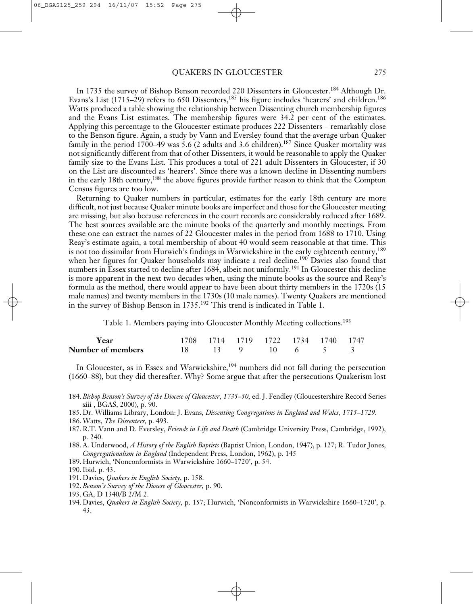In 1735 the survey of Bishop Benson recorded 220 Dissenters in Gloucester. <sup>184</sup> Although Dr. Evans's List (1715–29) refers to 650 Dissenters,<sup>185</sup> his figure includes 'hearers' and children.<sup>186</sup> Watts produced a table showing the relationship between Dissenting church membership figures and the Evans List estimates. The membership figures were 34.2 per cent of the estimates. Applying this percentage to the Gloucester estimate produces 222 Dissenters – remarkably close to the Benson figure. Again, a study by Vann and Eversley found that the average urban Quaker family in the period 1700–49 was 5.6 (2 adults and 3.6 children). <sup>187</sup> Since Quaker mortality was not significantly different from that of other Dissenters, it would be reasonable to apply the Quaker family size to the Evans List. This produces a total of 221 adult Dissenters in Gloucester, if 30 on the List are discounted as 'hearers'. Since there was a known decline in Dissenting numbers in the early 18th century,<sup>188</sup> the above figures provide further reason to think that the Compton Census figures are too low.

Returning to Quaker numbers in particular, estimates for the early 18th century are more difficult, not just because Quaker minute books are imperfect and those for the Gloucester meeting are missing, but also because references in the court records are considerably reduced after 1689. The best sources available are the minute books of the quarterly and monthly meetings. From these one can extract the names of 22 Gloucester males in the period from 1688 to 1710. Using Reay's estimate again, a total membership of about 40 would seem reasonable at that time. This is not too dissimilar from Hurwich's findings in Warwickshire in the early eighteenth century, 189 when her figures for Quaker households may indicate a real decline. <sup>190</sup> Davies also found that numbers in Essex started to decline after 1684, albeit not uniformly.<sup>191</sup> In Gloucester this decline is more apparent in the next two decades when, using the minute books as the source and Reay's formula as the method, there would appear to have been about thirty members in the 1720s (15 male names) and twenty members in the 1730s (10 male names). Twenty Quakers are mentioned in the survey of Bishop Benson in 1735. <sup>192</sup> This trend is indicated in Table 1.

Table 1. Members paying into Gloucester Monthly Meeting collections. 193

| Year              | 1708 1714 1719 1722 1734 1740 1747 |  |  |  |
|-------------------|------------------------------------|--|--|--|
| Number of members | 18 13 9 10 6 5 3                   |  |  |  |

In Gloucester, as in Essex and Warwickshire, <sup>194</sup> numbers did not fall during the persecution (1660–88), but they did thereafter. Why? Some argue that after the persecutions Quakerism lost

- 184. *Bishop Benson's Survey of the Diocese of Gloucester, 1735–50,* ed. J. Fendley (Gloucestershire Record Series xiii , BGAS, 2000), p. 90.
- 185. Dr. Williams Library, London: J. Evans, *Dissenting Congregations in England and Wales, 1715–1729.*
- 186. Watts, *The Dissenters,* p. 493.
- 187. R.T. Vann and D. Eversley, *Friends in Life and Death* (Cambridge University Press, Cambridge, 1992), p. 240.
- 188. A. Underwood, *A History of the English Baptists* (Baptist Union, London, 1947), p. 127; R. Tudor Jones, *Congregationalism in England* (Independent Press, London, 1962), p. 145
- 189. Hurwich, 'Nonconformists in Warwickshire 1660–1720', p. 54.
- 190.Ibid. p. 43.
- 191. Davies, *Quakers in English Society*, p. 158.
- 192. *Benson's Survey of the Diocese of Gloucester,* p. 90.
- 193. GA, D 1340/B 2/M 2.
- 194. Davies, *Quakers in English Society,* p. 157; Hurwich, 'Nonconformists in Warwickshire 1660–1720', p. 43.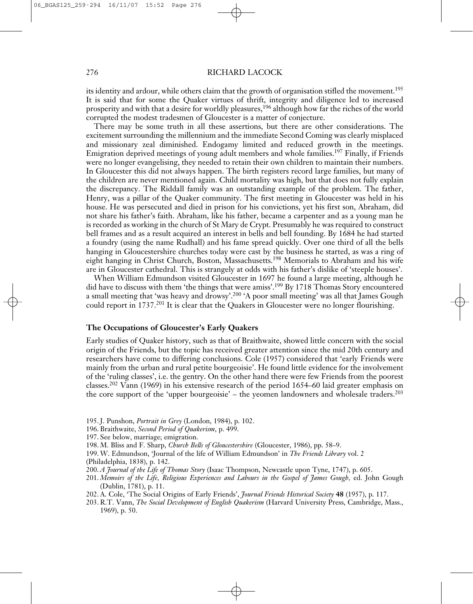its identity and ardour, while others claim that the growth of organisation stifled the movement. 195 It is said that for some the Quaker virtues of thrift, integrity and diligence led to increased prosperity and with that a desire for worldly pleasures, <sup>196</sup> although how far the riches of the world corrupted the modest tradesmen of Gloucester is a matter of conjecture.

There may be some truth in all these assertions, but there are other considerations. The excitement surrounding the millennium and the immediate Second Coming was clearly misplaced and missionary zeal diminished. Endogamy limited and reduced growth in the meetings. Emigration deprived meetings of young adult members and whole families. <sup>197</sup> Finally, if Friends were no longer evangelising, they needed to retain their own children to maintain their numbers. In Gloucester this did not always happen. The birth registers record large families, but many of the children are never mentioned again. Child mortality was high, but that does not fully explain the discrepancy. The Riddall family was an outstanding example of the problem. The father, Henry, was a pillar of the Quaker community. The first meeting in Gloucester was held in his house. He was persecuted and died in prison for his convictions, yet his first son, Abraham, did not share his father's faith. Abraham, like his father, became a carpenter and as a young man he is recorded as working in the church of St Mary de Crypt. Presumably he was required to construct bell frames and as a result acquired an interest in bells and bell founding. By 1684 he had started a foundry (using the name Rudhall) and his fame spread quickly. Over one third of all the bells hanging in Gloucestershire churches today were cast by the business he started, as was a ring of eight hanging in Christ Church, Boston, Massachusetts. <sup>198</sup> Memorials to Abraham and his wife are in Gloucester cathedral. This is strangely at odds with his father's dislike of 'steeple houses'.

When William Edmundson visited Gloucester in 1697 he found a large meeting, although he did have to discuss with them 'the things that were amiss'.<sup>199</sup> By 1718 Thomas Story encountered a small meeting that 'was heavy and drowsy'.<sup>200</sup> 'A poor small meeting' was all that James Gough could report in 1737.<sup>201</sup> It is clear that the Quakers in Gloucester were no longer flourishing.

# **The Occupations of Gloucester's Early Quakers**

Early studies of Quaker history, such as that of Braithwaite, showed little concern with the social origin of the Friends, but the topic has received greater attention since the mid 20th century and researchers have come to differing conclusions. Cole (1957) considered that 'early Friends were mainly from the urban and rural petite bourgeoisie'. He found little evidence for the involvement of the 'ruling classes', i.e. the gentry. On the other hand there were few Friends from the poorest classes.<sup>202</sup> Vann (1969) in his extensive research of the period 1654–60 laid greater emphasis on the core support of the 'upper bourgeoisie' – the yeomen landowners and wholesale traders. 203

- 195.J. Punshon, *Portrait in Grey* (London, 1984), p. 102.
- 196. Braithwaite, *Second Period of Quakerism*, p. 499.
- 197. See below, marriage; emigration.
- 198. M. Bliss and F. Sharp, *Church Bells of Gloucestershire* (Gloucester, 1986), pp. 58–9.
- 199. W. Edmundson, 'Journal of the life of William Edmundson' in *The Friends Library* vol. 2 (Philadelphia, 1838), p. 142.
- 200. *A Journal of the Life of Thomas Story* (Isaac Thompson, Newcastle upon Tyne, 1747), p. 605.
- 201. *Memoirs of the Life, Religious Experiences and Labours in the Gospel of James Gough,* ed. John Gough (Dublin, 1781), p. 11.
- 202. A. Cole, 'The Social Origins of Early Friends', *Journal Friends Historical Society* **48** (1957), p. 117.
- 203. R.T. Vann, *The Social Development of English Quakerism* (Harvard University Press, Cambridge, Mass., 1969), p. 50.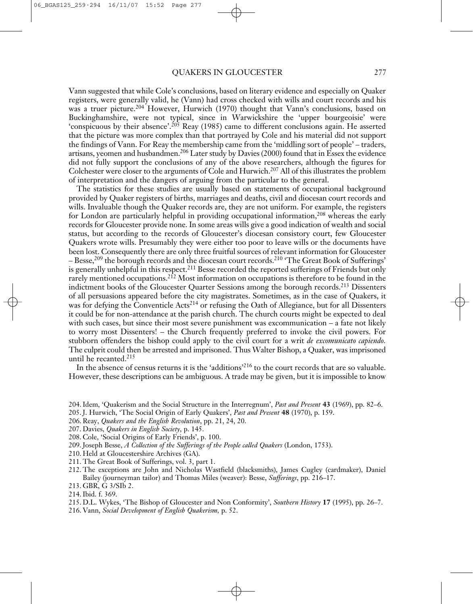Vann suggested that while Cole's conclusions, based on literary evidence and especially on Quaker registers, were generally valid, he (Vann) had cross checked with wills and court records and his was a truer picture. <sup>204</sup> However, Hurwich (1970) thought that Vann's conclusions, based on Buckinghamshire, were not typical, since in Warwickshire the 'upper bourgeoisie' were 'conspicuous by their absence'. <sup>205</sup> Reay (1985) came to different conclusions again. He asserted that the picture was more complex than that portrayed by Cole and his material did not support the findings of Vann. For Reay the membership came from the 'middling sort of people' – traders, artisans, yeomen and husbandmen. <sup>206</sup> Later study by Davies (2000) found that in Essex the evidence did not fully support the conclusions of any of the above researchers, although the figures for Colchester were closer to the arguments of Cole and Hurwich. <sup>207</sup> All of this illustrates the problem of interpretation and the dangers of arguing from the particular to the general.

The statistics for these studies are usually based on statements of occupational background provided by Quaker registers of births, marriages and deaths, civil and diocesan court records and wills. Invaluable though the Quaker records are, they are not uniform. For example, the registers for London are particularly helpful in providing occupational information, <sup>208</sup> whereas the early records for Gloucester provide none. In some areas wills give a good indication of wealth and social status, but according to the records of Gloucester's diocesan consistory court, few Gloucester Quakers wrote wills. Presumably they were either too poor to leave wills or the documents have been lost. Consequently there are only three fruitful sources of relevant information for Gloucester – Besse,<sup>209</sup> the borough records and the diocesan court records.<sup>210</sup> 'The Great Book of Sufferings' is generally unhelpful in this respect.<sup>211</sup> Besse recorded the reported sufferings of Friends but only rarely mentioned occupations.<sup>212</sup> Most information on occupations is therefore to be found in the indictment books of the Gloucester Quarter Sessions among the borough records. <sup>213</sup> Dissenters of all persuasions appeared before the city magistrates. Sometimes, as in the case of Quakers, it was for defying the Conventicle Acts<sup>214</sup> or refusing the Oath of Allegiance, but for all Dissenters it could be for non-attendance at the parish church. The church courts might be expected to deal with such cases, but since their most severe punishment was excommunication – a fate not likely to worry most Dissenters! – the Church frequently preferred to invoke the civil powers. For stubborn offenders the bishop could apply to the civil court for a writ *de excomunicato capiendo.* The culprit could then be arrested and imprisoned. Thus Walter Bishop, a Quaker, was imprisoned until he recanted. 215

In the absence of census returns it is the 'additions' <sup>216</sup> to the court records that are so valuable. However, these descriptions can be ambiguous. A trade may be given, but it is impossible to know

- 204.Idem, 'Quakerism and the Social Structure in the Interregnum', *Past and Present* **43** (1969), pp. 82–6. 205.J. Hurwich, 'The Social Origin of Early Quakers', *Past and Present* **48** (1970), p. 159.
- 206. Reay, *Quakers and the English Revolution*, pp. 21, 24, 20.
- 207. Davies, *Quakers in English Society*, p. 145.
- 208. Cole, 'Social Origins of Early Friends', p. 100.
- 209.Joseph Besse, *A Collection of the Sufferings of the People called Quakers* (London, 1753).
- 210. Held at Gloucestershire Archives (GA).
- 211. The Great Book of Sufferings, vol. 3, part 1.
- 212. The exceptions are John and Nicholas Wastfield (blacksmiths), James Cugley (cardmaker), Daniel Bailey (journeyman tailor) and Thomas Miles (weaver): Besse, *Sufferings*, pp. 216–17.
- 213. GBR, G 3/SIb 2.
- 214.Ibid. f. 369.
- 215. D.L. Wykes, 'The Bishop of Gloucester and Non Conformity', *Southern History* **17** (1995), pp. 26–7.
- 216. Vann, *Social Development of English Quakerism,* p. 52.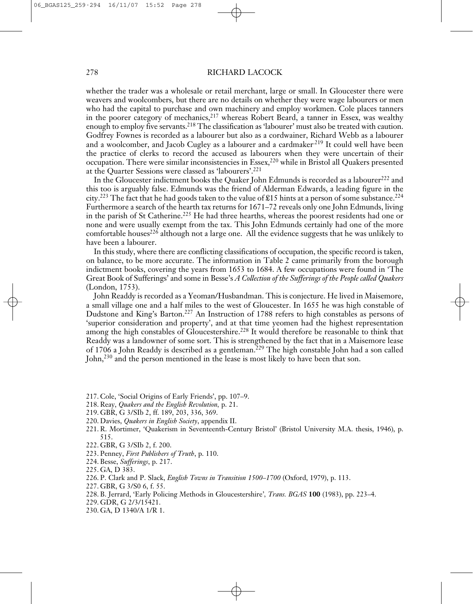whether the trader was a wholesale or retail merchant, large or small. In Gloucester there were weavers and woolcombers, but there are no details on whether they were wage labourers or men who had the capital to purchase and own machinery and employ workmen. Cole places tanners in the poorer category of mechanics, <sup>217</sup> whereas Robert Beard, a tanner in Essex, was wealthy enough to employ five servants.<sup>218</sup> The classification as 'labourer' must also be treated with caution. Godfrey Fownes is recorded as a labourer but also as a cordwainer, Richard Webb as a labourer and a woolcomber, and Jacob Cugley as a labourer and a cardmaker.<sup>219</sup> It could well have been the practice of clerks to record the accused as labourers when they were uncertain of their occupation. There were similar inconsistencies in Essex, <sup>220</sup> while in Bristol all Quakers presented at the Quarter Sessions were classed as 'labourers'. 221

In the Gloucester indictment books the Quaker John Edmunds is recorded as a labourer<sup>222</sup> and this too is arguably false. Edmunds was the friend of Alderman Edwards, a leading figure in the city. <sup>223</sup> The fact that he had goods taken to the value of £15 hints at a person of some substance. 224 Furthermore a search of the hearth tax returns for 1671–72 reveals only one John Edmunds, living in the parish of St Catherine.<sup>225</sup> He had three hearths, whereas the poorest residents had one or none and were usually exempt from the tax. This John Edmunds certainly had one of the more comfortable houses<sup>226</sup> although not a large one. All the evidence suggests that he was unlikely to have been a labourer.

In this study, where there are conflicting classifications of occupation, the specific record is taken, on balance, to be more accurate. The information in Table 2 came primarily from the borough indictment books, covering the years from 1653 to 1684. A few occupations were found in 'The Great Book of Sufferings' and some in Besse's *A Collection of the Sufferings of the People called Quakers* (London, 1753).

John Readdy is recorded as a Yeoman/Husbandman. This is conjecture. He lived in Maisemore, a small village one and a half miles to the west of Gloucester. In 1655 he was high constable of Dudstone and King's Barton. <sup>227</sup> An Instruction of 1788 refers to high constables as persons of 'superior consideration and property', and at that time yeomen had the highest representation among the high constables of Gloucestershire.<sup>228</sup> It would therefore be reasonable to think that Readdy was a landowner of some sort. This is strengthened by the fact that in a Maisemore lease of 1706 a John Readdy is described as a gentleman. <sup>229</sup> The high constable John had a son called John, <sup>230</sup> and the person mentioned in the lease is most likely to have been that son.

- 217. Cole, 'Social Origins of Early Friends', pp. 107–9.
- 218. Reay, *Quakers and the English Revolution,* p. 21.
- 219. GBR, G 3/SIb 2, ff. 189, 203, 336, 369.
- 220. Davies, *Quakers in English Society*, appendix II.
- 221. R. Mortimer, 'Quakerism in Seventeenth-Century Bristol' (Bristol University M.A. thesis, 1946), p. 515.
- 222. GBR, G 3/SIb 2, f. 200.
- 223. Penney, *First Publishers of Truth*, p. 110.
- 224. Besse, *Sufferings*, p. 217.
- 225. GA, D 383.
- 226. P. Clark and P. Slack, *English Towns in Transition 1500–1700* (Oxford, 1979), p. 113.
- 227. GBR, G 3/S0 6, f. 55.
- 228. B. Jerrard, 'Early Policing Methods in Gloucestershire'*, Trans. BGAS* **100** (1983), pp. 223–4.
- 229. GDR, G 2/3/15421.
- 230. GA, D 1340/A 1/R 1.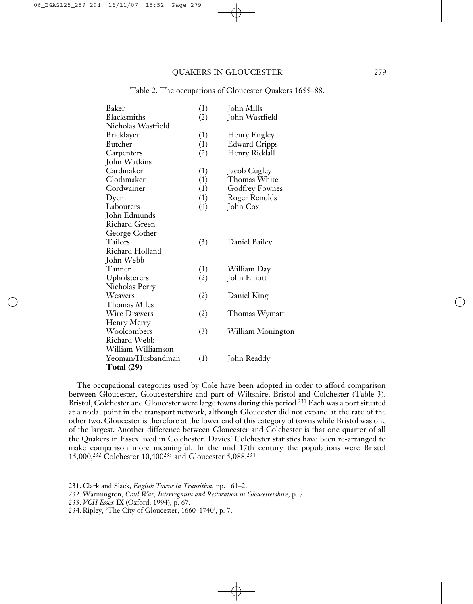| Baker                | (1) | John Mills           |
|----------------------|-----|----------------------|
| Blacksmiths          | (2) | John Wastfield       |
| Nicholas Wastfield   |     |                      |
| Bricklayer           | (1) | Henry Engley         |
| Butcher              | (1) | <b>Edward Cripps</b> |
| Carpenters           | (2) | Henry Riddall        |
| John Watkins         |     |                      |
| Cardmaker            | (1) | Jacob Cugley         |
| Clothmaker           | (1) | Thomas White         |
| Cordwainer           | (1) | Godfrey Fownes       |
| Dyer                 | (1) | Roger Renolds        |
| Labourers            | (4) | John Cox             |
| John Edmunds         |     |                      |
| <b>Richard Green</b> |     |                      |
| George Cother        |     |                      |
| Tailors              | (3) | Daniel Bailey        |
| Richard Holland      |     |                      |
| John Webb            |     |                      |
| Tanner               | (1) | William Day          |
| Upholsterers         | (2) | John Elliott         |
| Nicholas Perry       |     |                      |
| Weavers              | (2) | Daniel King          |
| Thomas Miles         |     |                      |
| <b>Wire Drawers</b>  | (2) | Thomas Wymatt        |
| Henry Merry          |     |                      |
| Woolcombers          | (3) | William Monington    |
| Richard Webb         |     |                      |
| William Williamson   |     |                      |
| Yeoman/Husbandman    | (1) | John Readdy          |
| <b>Total</b> (29)    |     |                      |

#### Table 2. The occupations of Gloucester Quakers 1655–88.

The occupational categories used by Cole have been adopted in order to afford comparison between Gloucester, Gloucestershire and part of Wiltshire, Bristol and Colchester (Table 3). Bristol, Colchester and Gloucester were large towns during this period. <sup>231</sup> Each was a port situated at a nodal point in the transport network, although Gloucester did not expand at the rate of the other two. Gloucester is therefore at the lower end of this category of towns while Bristol was one of the largest. Another difference between Gloucester and Colchester is that one quarter of all the Quakers in Essex lived in Colchester. Davies' Colchester statistics have been re-arranged to make comparison more meaningful. In the mid 17th century the populations were Bristol 15,000, <sup>232</sup> Colchester 10,400233 and Gloucester 5,088. 234

<sup>231.</sup> Clark and Slack, *English Towns in Transition,* pp. 161–2.

<sup>232.</sup> Warmington, *Civil War, Interregnum and Restoration in Gloucestershire*, p. 7.

<sup>233.</sup> *VCH Essex* IX (Oxford, 1994), p. 67.

<sup>234.</sup> Ripley, 'The City of Gloucester, 1660–1740', p. 7.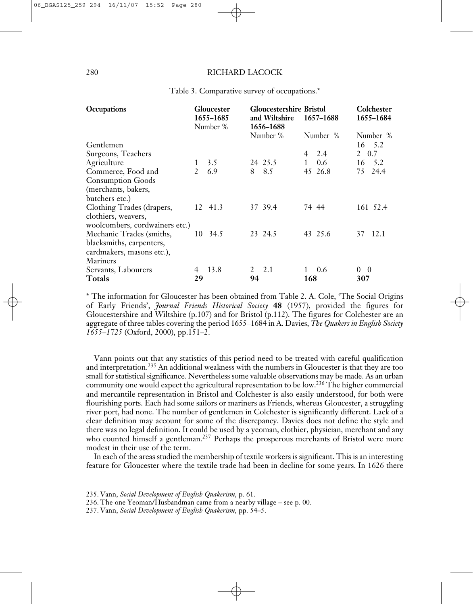| Occupations                    |               | Gloucester<br>1655-1685<br>Number % |    | <b>Gloucestershire Bristol</b><br>and Wiltshire<br>1656-1688 |       | 1657-1688     | Colchester<br>1655-1684 |
|--------------------------------|---------------|-------------------------------------|----|--------------------------------------------------------------|-------|---------------|-------------------------|
|                                |               |                                     |    | Number %                                                     |       | Number %      | Number %                |
| Gentlemen                      |               |                                     |    |                                                              |       |               | 16 5.2                  |
| Surgeons, Teachers             |               |                                     |    |                                                              | 4     | 2.4           | 0.7<br>2                |
| Agriculture                    | $\mathbf{1}$  | 3.5                                 |    | 24 25.5                                                      |       | $0.6^{\circ}$ | 5.2<br>16               |
| Commerce, Food and             | $\mathcal{L}$ | 6.9                                 | 8  | 8.5                                                          |       | 45 26.8       | 24.4<br>75              |
| <b>Consumption Goods</b>       |               |                                     |    |                                                              |       |               |                         |
| (merchants, bakers,            |               |                                     |    |                                                              |       |               |                         |
| butchers etc.)                 |               |                                     |    |                                                              |       |               |                         |
| Clothing Trades (drapers,      |               | 12 41.3                             |    | 37 39.4                                                      | 74 44 |               | 161 52.4                |
| clothiers, weavers,            |               |                                     |    |                                                              |       |               |                         |
| woolcombers, cordwainers etc.) |               |                                     |    |                                                              |       |               |                         |
| Mechanic Trades (smiths,       |               | 10 34.5                             |    | 23 24.5                                                      |       | 43 25.6       | 37 12.1                 |
| blacksmiths, carpenters,       |               |                                     |    |                                                              |       |               |                         |
| cardmakers, masons etc.),      |               |                                     |    |                                                              |       |               |                         |
| Mariners                       |               |                                     |    |                                                              |       |               |                         |
| Servants, Labourers            | 4             | 13.8                                | 2  | 2.1                                                          |       | 0.6           | $\Omega$<br>- 0         |
| <b>Totals</b>                  | 29            |                                     | 94 |                                                              | 168   |               | 307                     |

Table 3. Comparative survey of occupations.\*

\* The information for Gloucester has been obtained from Table 2. A. Cole, 'The Social Origins of Early Friends', *Journal Friends Historical Society* **48** (1957), provided the figures for Gloucestershire and Wiltshire (p.107) and for Bristol (p.112). The figures for Colchester are an aggregate of three tables covering the period 1655–1684 in A. Davies, *The Quakers in English Society 1655–1725* (Oxford, 2000), pp.151–2.

Vann points out that any statistics of this period need to be treated with careful qualification and interpretation. <sup>235</sup> An additional weakness with the numbers in Gloucester is that they are too small for statistical significance. Nevertheless some valuable observations may be made. As an urban community one would expect the agricultural representation to be low. <sup>236</sup> The higher commercial and mercantile representation in Bristol and Colchester is also easily understood, for both were flourishing ports. Each had some sailors or mariners as Friends, whereas Gloucester, a struggling river port, had none. The number of gentlemen in Colchester is significantly different. Lack of a clear definition may account for some of the discrepancy. Davies does not define the style and there was no legal definition. It could be used by a yeoman, clothier, physician, merchant and any who counted himself a gentleman.<sup>237</sup> Perhaps the prosperous merchants of Bristol were more modest in their use of the term.

In each of the areas studied the membership of textile workers is significant. This is an interesting feature for Gloucester where the textile trade had been in decline for some years. In 1626 there

237. Vann, *Social Development of English Quakerism,* pp. 54–5.

<sup>235.</sup> Vann, *Social Development of English Quakerism,* p. 61.

<sup>236.</sup> The one Yeoman/Husbandman came from a nearby village – see p. 00.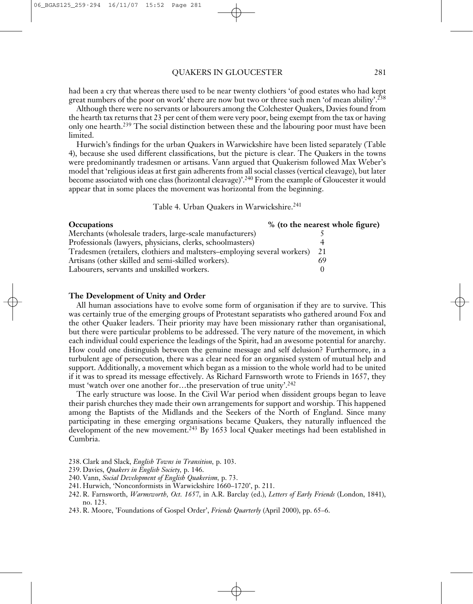had been a cry that whereas there used to be near twenty clothiers 'of good estates who had kept great numbers of the poor on work' there are now but two or three such men 'of mean ability'. 238

Although there were no servants or labourers among the Colchester Quakers, Davies found from the hearth tax returns that 23 per cent of them were very poor, being exempt from the tax or having only one hearth.<sup>239</sup> The social distinction between these and the labouring poor must have been limited.

Hurwich's findings for the urban Quakers in Warwickshire have been listed separately (Table 4), because she used different classifications, but the picture is clear. The Quakers in the towns were predominantly tradesmen or artisans. Vann argued that Quakerism followed Max Weber's model that 'religious ideas at first gain adherents from all social classes (vertical cleavage), but later become associated with one class (horizontal cleavage)'.<sup>240</sup> From the example of Gloucester it would appear that in some places the movement was horizontal from the beginning.

Table 4. Urban Quakers in Warwickshire. 241

| <b>Occupations</b>                                                          | % (to the nearest whole figure) |
|-----------------------------------------------------------------------------|---------------------------------|
| Merchants (wholesale traders, large-scale manufacturers)                    |                                 |
| Professionals (lawyers, physicians, clerks, schoolmasters)                  |                                 |
| Tradesmen (retailers, clothiers and maltsters-employing several workers) 21 |                                 |
| Artisans (other skilled and semi-skilled workers).                          |                                 |
| Labourers, servants and unskilled workers.                                  |                                 |

#### **The Development of Unity and Order**

All human associations have to evolve some form of organisation if they are to survive. This was certainly true of the emerging groups of Protestant separatists who gathered around Fox and the other Quaker leaders. Their priority may have been missionary rather than organisational, but there were particular problems to be addressed. The very nature of the movement, in which each individual could experience the leadings of the Spirit, had an awesome potential for anarchy. How could one distinguish between the genuine message and self delusion? Furthermore, in a turbulent age of persecution, there was a clear need for an organised system of mutual help and support. Additionally, a movement which began as a mission to the whole world had to be united if it was to spread its message effectively. As Richard Farnsworth wrote to Friends in 1657, they must 'watch over one another for...the preservation of true unity'.<sup>242</sup>

The early structure was loose. In the Civil War period when dissident groups began to leave their parish churches they made their own arrangements for support and worship. This happened among the Baptists of the Midlands and the Seekers of the North of England. Since many participating in these emerging organisations became Quakers, they naturally influenced the development of the new movement.<sup>243</sup> By 1653 local Quaker meetings had been established in Cumbria.

238. Clark and Slack, *English Towns in Transition,* p. 103.

- 239. Davies, *Quakers in English Society,* p. 146.
- 240. Vann, *Social Development of English Quakerism,* p. 73.
- 241. Hurwich, 'Nonconformists in Warwickshire 1660–1720', p. 211.
- 242. R. Farnsworth, *Warmsworth, Oct. 1657*, in A.R. Barclay (ed.), *Letters of Early Friends* (London, 1841), no. 123.
- 243. R. Moore, 'Foundations of Gospel Order', *Friends Quarterly* (April 2000), pp. 65–6.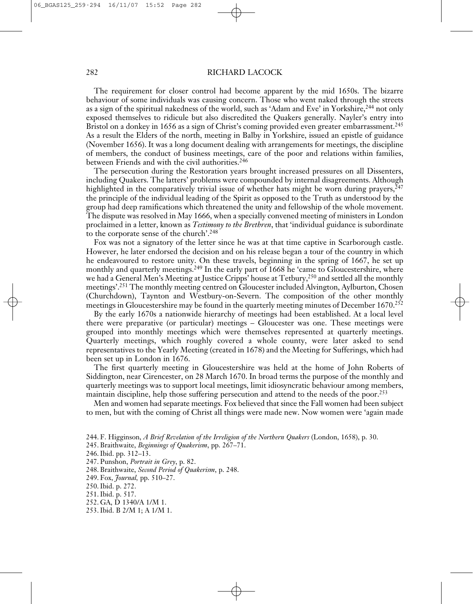The requirement for closer control had become apparent by the mid 1650s. The bizarre behaviour of some individuals was causing concern. Those who went naked through the streets as a sign of the spiritual nakedness of the world, such as 'Adam and Eve' in Yorkshire,<sup>244</sup> not only exposed themselves to ridicule but also discredited the Quakers generally. Nayler's entry into Bristol on a donkey in 1656 as a sign of Christ's coming provided even greater embarrassment.<sup>245</sup> As a result the Elders of the north, meeting in Balby in Yorkshire, issued an epistle of guidance (November 1656). It was a long document dealing with arrangements for meetings, the discipline of members, the conduct of business meetings, care of the poor and relations within families, between Friends and with the civil authorities. 246

The persecution during the Restoration years brought increased pressures on all Dissenters, including Quakers. The latters' problems were compounded by internal disagreements. Although highlighted in the comparatively trivial issue of whether hats might be worn during prayers, 247 the principle of the individual leading of the Spirit as opposed to the Truth as understood by the group had deep ramifications which threatened the unity and fellowship of the whole movement. The dispute was resolved in May 1666, when a specially convened meeting of ministers in London proclaimed in a letter, known as *Testimony to the Brethren*, that 'individual guidance is subordinate to the corporate sense of the church'. 248

Fox was not a signatory of the letter since he was at that time captive in Scarborough castle. However, he later endorsed the decision and on his release began a tour of the country in which he endeavoured to restore unity. On these travels, beginning in the spring of 1667, he set up monthly and quarterly meetings. <sup>249</sup> In the early part of 1668 he 'came to Gloucestershire, where we had a General Men's Meeting at Justice Cripps' house at Tetbury, <sup>250</sup> and settled all the monthly meetings'. <sup>251</sup> The monthly meeting centred on Gloucester included Alvington, Aylburton, Chosen (Churchdown), Taynton and Westbury-on-Severn. The composition of the other monthly meetings in Gloucestershire may be found in the quarterly meeting minutes of December 1670. 252

By the early 1670s a nationwide hierarchy of meetings had been established. At a local level there were preparative (or particular) meetings – Gloucester was one. These meetings were grouped into monthly meetings which were themselves represented at quarterly meetings. Quarterly meetings, which roughly covered a whole county, were later asked to send representatives to the Yearly Meeting (created in 1678) and the Meeting for Sufferings, which had been set up in London in 1676.

The first quarterly meeting in Gloucestershire was held at the home of John Roberts of Siddington, near Cirencester, on 28 March 1670. In broad terms the purpose of the monthly and quarterly meetings was to support local meetings, limit idiosyncratic behaviour among members, maintain discipline, help those suffering persecution and attend to the needs of the poor. 253

Men and women had separate meetings. Fox believed that since the Fall women had been subject to men, but with the coming of Christ all things were made new. Now women were 'again made

- 245. Braithwaite, *Beginnings of Quakerism*, pp. 267–71.
- 246.Ibid. pp. 312–13.
- 247. Punshon, *Portrait in Grey*, p. 82.
- 248. Braithwaite, *Second Period of Quakerism*, p. 248.
- 249. Fox, *Journal,* pp. 510–27.
- 250.Ibid. p. 272.
- 251.Ibid. p. 517.
- 252. GA, D 1340/A 1/M 1.
- 253.Ibid. B 2/M 1; A 1/M 1.

<sup>244.</sup> F. Higginson, *A Brief Revelation of the Irreligion of the Northern Quakers* (London, 1658), p. 30.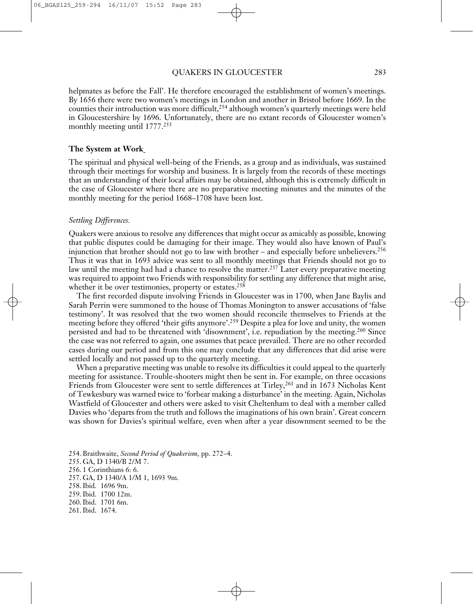helpmates as before the Fall'. He therefore encouraged the establishment of women's meetings. By 1656 there were two women's meetings in London and another in Bristol before 1669. In the counties their introduction was more difficult, <sup>254</sup> although women's quarterly meetings were held in Gloucestershire by 1696. Unfortunately, there are no extant records of Gloucester women's monthly meeting until 1777. 255

#### **The System at Work**

The spiritual and physical well-being of the Friends, as a group and as individuals, was sustained through their meetings for worship and business. It is largely from the records of these meetings that an understanding of their local affairs may be obtained, although this is extremely difficult in the case of Gloucester where there are no preparative meeting minutes and the minutes of the monthly meeting for the period 1668–1708 have been lost.

#### *Settling Differences.*

Quakers were anxious to resolve any differences that might occur as amicably as possible, knowing that public disputes could be damaging for their image. They would also have known of Paul's injunction that brother should not go to law with brother – and especially before unbelievers. 256 Thus it was that in 1693 advice was sent to all monthly meetings that Friends should not go to law until the meeting had had a chance to resolve the matter. <sup>257</sup> Later every preparative meeting was required to appoint two Friends with responsibility for settling any difference that might arise, whether it be over testimonies, property or estates.<sup>258</sup>

The first recorded dispute involving Friends in Gloucester was in 1700, when Jane Baylis and Sarah Perrin were summoned to the house of Thomas Monington to answer accusations of 'false testimony'. It was resolved that the two women should reconcile themselves to Friends at the meeting before they offered 'their gifts anymore'. <sup>259</sup> Despite a plea for love and unity, the women persisted and had to be threatened with 'disownment', i.e. repudiation by the meeting.<sup>260</sup> Since the case was not referred to again, one assumes that peace prevailed. There are no other recorded cases during our period and from this one may conclude that any differences that did arise were settled locally and not passed up to the quarterly meeting.

When a preparative meeting was unable to resolve its difficulties it could appeal to the quarterly meeting for assistance. Trouble-shooters might then be sent in. For example, on three occasions Friends from Gloucester were sent to settle differences at Tirley, <sup>261</sup> and in 1673 Nicholas Kent of Tewkesbury was warned twice to 'forbear making a disturbance' in the meeting. Again, Nicholas Wastfield of Gloucester and others were asked to visit Cheltenham to deal with a member called Davies who 'departs from the truth and follows the imaginations of his own brain'. Great concern was shown for Davies's spiritual welfare, even when after a year disownment seemed to be the

254. Braithwaite, *Second Period of Quakerism*, pp. 272–4. 255. GA, D 1340/B 2/M 7. 256. 1 Corinthians 6: 6. 257. GA, D 1340/A 1/M 1, 1693 9m. 258.Ibid. 1696 9m. 259.Ibid. 1700 12m. 260.Ibid. 1701 6m. 261.Ibid. 1674.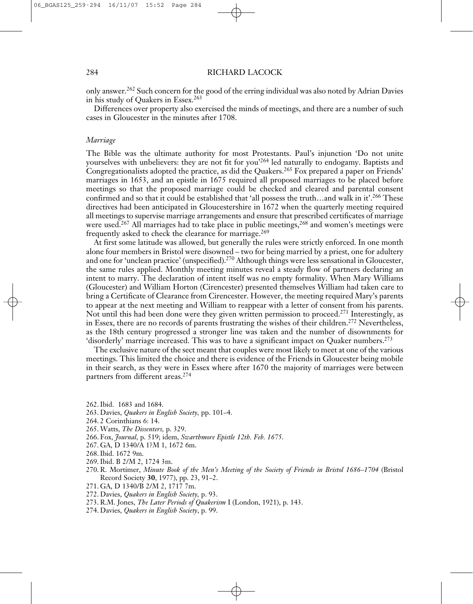only answer. <sup>262</sup> Such concern for the good of the erring individual was also noted by Adrian Davies in his study of Quakers in Essex. 263

Differences over property also exercised the minds of meetings, and there are a number of such cases in Gloucester in the minutes after 1708.

# *Marriage*

The Bible was the ultimate authority for most Protestants. Paul's injunction 'Do not unite yourselves with unbelievers: they are not fit for you' <sup>264</sup> led naturally to endogamy. Baptists and Congregationalists adopted the practice, as did the Quakers. <sup>265</sup> Fox prepared a paper on Friends' marriages in 1653, and an epistle in 1675 required all proposed marriages to be placed before meetings so that the proposed marriage could be checked and cleared and parental consent confirmed and so that it could be established that 'all possess the truth…and walk in it'. <sup>266</sup> These directives had been anticipated in Gloucestershire in 1672 when the quarterly meeting required all meetings to supervise marriage arrangements and ensure that prescribed certificates of marriage were used. <sup>267</sup> All marriages had to take place in public meetings, <sup>268</sup> and women's meetings were frequently asked to check the clearance for marriage.<sup>269</sup>

At first some latitude was allowed, but generally the rules were strictly enforced. In one month alone four members in Bristol were disowned – two for being married by a priest, one for adultery and one for 'unclean practice' (unspecified). <sup>270</sup> Although things were less sensational in Gloucester, the same rules applied. Monthly meeting minutes reveal a steady flow of partners declaring an intent to marry. The declaration of intent itself was no empty formality. When Mary Williams (Gloucester) and William Horton (Cirencester) presented themselves William had taken care to bring a Certificate of Clearance from Cirencester. However, the meeting required Mary's parents to appear at the next meeting and William to reappear with a letter of consent from his parents. Not until this had been done were they given written permission to proceed. <sup>271</sup> Interestingly, as in Essex, there are no records of parents frustrating the wishes of their children. <sup>272</sup> Nevertheless, as the 18th century progressed a stronger line was taken and the number of disownments for 'disorderly' marriage increased. This was to have a significant impact on Quaker numbers.<sup>273</sup>

The exclusive nature of the sect meant that couples were most likely to meet at one of the various meetings. This limited the choice and there is evidence of the Friends in Gloucester being mobile in their search, as they were in Essex where after 1670 the majority of marriages were between partners from different areas. 274

- 262.Ibid. 1683 and 1684.
- 263. Davies, *Quakers in English Society,* pp. 101–4.
- 264. 2 Corinthians 6: 14.
- 265. Watts, *The Dissenters,* p. 329.
- 266. Fox, *Journal*, p. 519; idem, *Swarthmore Epistle 12th. Feb. 1675*.
- 267. GA, D 1340/A 1?M 1, 1672 6m.
- 268.Ibid. 1672 9m.
- 269.Ibid. B 2/M 2, 1724 3m.
- 270. R. Mortimer, *Minute Book of the Men's Meeting of the Society of Friends in Bristol 1686–1704* (Bristol Record Society **30**, 1977), pp. 23, 91–2.
- 271. GA, D 1340/B 2/M 2, 1717 7m.
- 272. Davies, *Quakers in English Society,* p. 93.
- 273. R.M. Jones, *The Later Periods of Quakerism* I (London, 1921), p. 143.
- 274. Davies, *Quakers in English Society*, p. 99.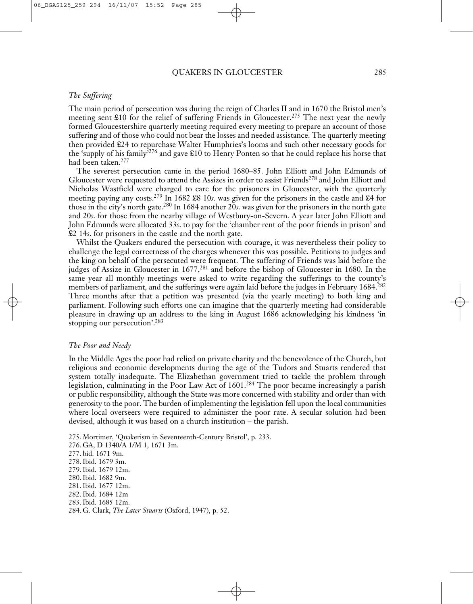# *The Suffering*

The main period of persecution was during the reign of Charles II and in 1670 the Bristol men's meeting sent £10 for the relief of suffering Friends in Gloucester. <sup>275</sup> The next year the newly formed Gloucestershire quarterly meeting required every meeting to prepare an account of those suffering and of those who could not bear the losses and needed assistance. The quarterly meeting then provided £24 to repurchase Walter Humphries's looms and such other necessary goods for the 'supply of his family' <sup>276</sup> and gave £10 to Henry Ponten so that he could replace his horse that had been taken. 277

The severest persecution came in the period 1680–85. John Elliott and John Edmunds of Gloucester were requested to attend the Assizes in order to assist Friends<sup>278</sup> and John Elliott and Nicholas Wastfield were charged to care for the prisoners in Gloucester, with the quarterly meeting paying any costs. <sup>279</sup> In 1682 £8 10*s*. was given for the prisoners in the castle and £4 for those in the city's north gate. <sup>280</sup> In 1684 another 20*s*. was given for the prisoners in the north gate and 20*s*. for those from the nearby village of Westbury-on-Severn. A year later John Elliott and John Edmunds were allocated 33*s*. to pay for the 'chamber rent of the poor friends in prison' and £2 14*s*. for prisoners in the castle and the north gate.

Whilst the Quakers endured the persecution with courage, it was nevertheless their policy to challenge the legal correctness of the charges whenever this was possible. Petitions to judges and the king on behalf of the persecuted were frequent. The suffering of Friends was laid before the judges of Assize in Gloucester in 1677, <sup>281</sup> and before the bishop of Gloucester in 1680. In the same year all monthly meetings were asked to write regarding the sufferings to the county's members of parliament, and the sufferings were again laid before the judges in February 1684. 282 Three months after that a petition was presented (via the yearly meeting) to both king and parliament. Following such efforts one can imagine that the quarterly meeting had considerable pleasure in drawing up an address to the king in August 1686 acknowledging his kindness 'in stopping our persecution'.<sup>283</sup>

#### *The Poor and Needy*

In the Middle Ages the poor had relied on private charity and the benevolence of the Church, but religious and economic developments during the age of the Tudors and Stuarts rendered that system totally inadequate. The Elizabethan government tried to tackle the problem through legislation, culminating in the Poor Law Act of 1601. <sup>284</sup> The poor became increasingly a parish or public responsibility, although the State was more concerned with stability and order than with generosity to the poor. The burden of implementing the legislation fell upon the local communities where local overseers were required to administer the poor rate. A secular solution had been devised, although it was based on a church institution – the parish.

275. Mortimer, 'Quakerism in Seventeenth-Century Bristol', p. 233. 276. GA, D 1340/A 1/M 1, 1671 3m. 277. bid. 1671 9m. 278.Ibid. 1679 3m. 279.Ibid. 1679 12m. 280.Ibid. 1682 9m. 281.Ibid. 1677 12m. 282.Ibid. 1684 12m 283.Ibid. 1685 12m. 284. G. Clark, *The Later Stuarts* (Oxford, 1947), p. 52.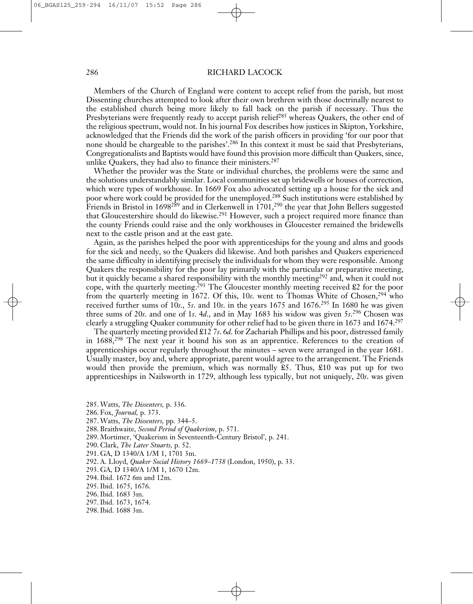Members of the Church of England were content to accept relief from the parish, but most Dissenting churches attempted to look after their own brethren with those doctrinally nearest to the established church being more likely to fall back on the parish if necessary. Thus the Presbyterians were frequently ready to accept parish relief<sup>285</sup> whereas Quakers, the other end of the religious spectrum, would not. In his journal Fox describes how justices in Skipton, Yorkshire, acknowledged that the Friends did the work of the parish officers in providing 'for our poor that none should be chargeable to the parishes'. <sup>286</sup> In this context it must be said that Presbyterians, Congregationalists and Baptists would have found this provision more difficult than Quakers, since, unlike Quakers, they had also to finance their ministers. 287

Whether the provider was the State or individual churches, the problems were the same and the solutions understandably similar. Local communities set up bridewells or houses of correction, which were types of workhouse. In 1669 Fox also advocated setting up a house for the sick and poor where work could be provided for the unemployed. <sup>288</sup> Such institutions were established by Friends in Bristol in 1698<sup>289</sup> and in Clerkenwell in 1701,<sup>290</sup> the year that John Bellers suggested that Gloucestershire should do likewise.<sup>291</sup> However, such a project required more finance than the county Friends could raise and the only workhouses in Gloucester remained the bridewells next to the castle prison and at the east gate.

Again, as the parishes helped the poor with apprenticeships for the young and alms and goods for the sick and needy, so the Quakers did likewise. And both parishes and Quakers experienced the same difficulty in identifying precisely the individuals for whom they were responsible. Among Quakers the responsibility for the poor lay primarily with the particular or preparative meeting, but it quickly became a shared responsibility with the monthly meeting<sup>292</sup> and, when it could not cope, with the quarterly meeting. <sup>293</sup> The Gloucester monthly meeting received £2 for the poor from the quarterly meeting in 1672. Of this, 10*s*. went to Thomas White of Chosen, <sup>294</sup> who received further sums of 10*s*., 5*s*. and 10*s*. in the years 1675 and 1676. <sup>295</sup> In 1680 he was given three sums of 20*s*. and one of 1*s*. 4*d*., and in May 1683 his widow was given 5*s*. <sup>296</sup> Chosen was clearly a struggling Quaker community for other relief had to be given there in 1673 and 1674. 297

The quarterly meeting provided £12 7*s*. 6*d*. for Zachariah Phillips and his poor, distressed family in 1688,<sup>298</sup> The next year it bound his son as an apprentice. References to the creation of apprenticeships occur regularly throughout the minutes – seven were arranged in the year 1681. Usually master, boy and, where appropriate, parent would agree to the arrangement. The Friends would then provide the premium, which was normally  $\mathfrak{L}5$ . Thus,  $\mathfrak{L}10$  was put up for two apprenticeships in Nailsworth in 1729, although less typically, but not uniquely, 20*s*. was given

- 285. Watts, *The Dissenters,* p. 336.
- 286. Fox, *Journal,* p. 373.
- 287. Watts, *The Dissenters,* pp. 344–5.
- 288. Braithwaite, *Second Period of Quakerism*, p. 571.
- 289. Mortimer, 'Quakerism in Seventeenth-Century Bristol', p. 241.
- 290. Clark, *The Later Stuarts,* p. 52.
- 291. GA, D 1340/A 1/M 1, 1701 3m.
- 292. A. Lloyd, *Quaker Social History 1669–1738* (London, 1950), p. 33.
- 293. GA, D 1340/A 1/M 1, 1670 12m.
- 294.Ibid. 1672 6m and 12m.
- 295.Ibid. 1675, 1676.
- 296.Ibid. 1683 3m.
- 297.Ibid. 1673, 1674.
- 298.Ibid. 1688 3m.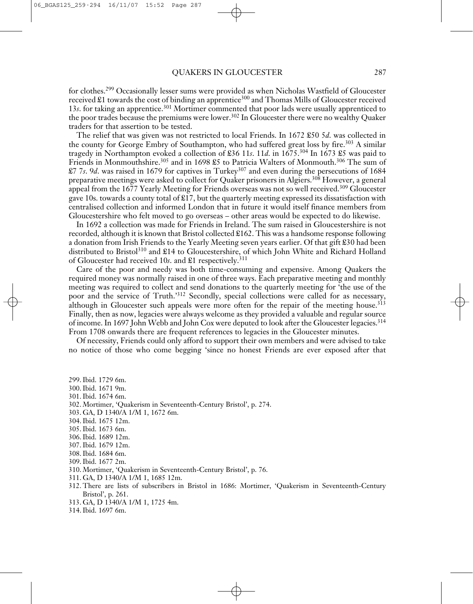for clothes. <sup>299</sup> Occasionally lesser sums were provided as when Nicholas Wastfield of Gloucester received  $\pounds$ 1 towards the cost of binding an apprentice<sup>300</sup> and Thomas Mills of Gloucester received 13*s*. for taking an apprentice. <sup>301</sup> Mortimer commented that poor lads were usually apprenticed to the poor trades because the premiums were lower. <sup>302</sup> In Gloucester there were no wealthy Quaker traders for that assertion to be tested.

The relief that was given was not restricted to local Friends. In 1672 £50 5*d*. was collected in the county for George Embry of Southampton, who had suffered great loss by fire. <sup>303</sup> A similar tragedy in Northampton evoked a collection of £36 11*s*. 11*d*. in 1675. <sup>304</sup> In 1673 £5 was paid to Friends in Monmouthshire.<sup>305</sup> and in 1698 £5 to Patricia Walters of Monmouth.<sup>306</sup> The sum of £7 7*s*. 9*d*. was raised in 1679 for captives in Turkey307 and even during the persecutions of 1684 preparative meetings were asked to collect for Quaker prisoners in Algiers. <sup>308</sup> However, a general appeal from the 1677 Yearly Meeting for Friends overseas was not so well received.<sup>309</sup> Gloucester gave 10s. towards a county total of £17, but the quarterly meeting expressed its dissatisfaction with centralised collection and informed London that in future it would itself finance members from Gloucestershire who felt moved to go overseas – other areas would be expected to do likewise.

In 1692 a collection was made for Friends in Ireland. The sum raised in Gloucestershire is not recorded, although it is known that Bristol collected £162. This was a handsome response following a donation from Irish Friends to the Yearly Meeting seven years earlier. Of that gift £30 had been distributed to Bristol <sup>310</sup> and £14 to Gloucestershire, of which John White and Richard Holland of Gloucester had received 10*s*. and £1 respectively. 311

Care of the poor and needy was both time-consuming and expensive. Among Quakers the required money was normally raised in one of three ways. Each preparative meeting and monthly meeting was required to collect and send donations to the quarterly meeting for 'the use of the poor and the service of Truth.'312 Secondly, special collections were called for as necessary, although in Gloucester such appeals were more often for the repair of the meeting house.<sup>313</sup> Finally, then as now, legacies were always welcome as they provided a valuable and regular source of income. In 1697 John Webb and John Cox were deputed to look after the Gloucester legacies. 314 From 1708 onwards there are frequent references to legacies in the Gloucester minutes.

Of necessity, Friends could only afford to support their own members and were advised to take no notice of those who come begging 'since no honest Friends are ever exposed after that

299.Ibid. 1729 6m. 300.Ibid. 1671 9m.

- 301.Ibid. 1674 6m.
- 302. Mortimer, 'Quakerism in Seventeenth-Century Bristol', p. 274.
- 303. GA, D 1340/A 1/M 1, 1672 6m.
- 304.Ibid. 1675 12m.
- 305.Ibid. 1673 6m.
- 306.Ibid. 1689 12m.
- 307.Ibid. 1679 12m.
- 308.Ibid. 1684 6m.
- 309.Ibid. 1677 2m.
- 310. Mortimer, 'Quakerism in Seventeenth-Century Bristol', p. 76.
- 311. GA, D 1340/A 1/M 1, 1685 12m.
- 312. There are lists of subscribers in Bristol in 1686: Mortimer, 'Quakerism in Seventeenth-Century Bristol', p. 261.
- 313. GA, D 1340/A 1/M 1, 1725 4m.
- 314.Ibid. 1697 6m.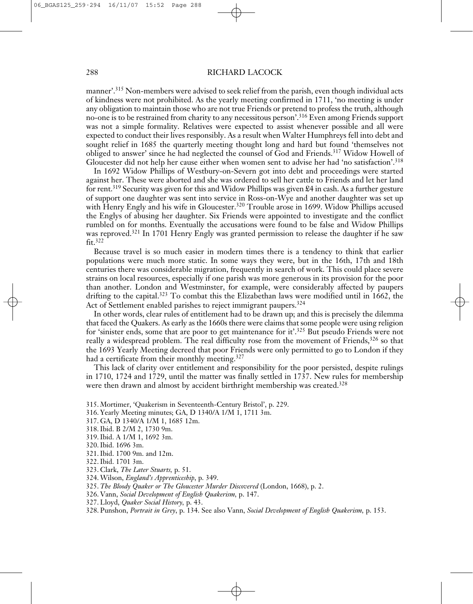manner'. <sup>315</sup> Non-members were advised to seek relief from the parish, even though individual acts of kindness were not prohibited. As the yearly meeting confirmed in 1711, 'no meeting is under any obligation to maintain those who are not true Friends or pretend to profess the truth, although no-one is to be restrained from charity to any necessitous person'. <sup>316</sup> Even among Friends support was not a simple formality. Relatives were expected to assist whenever possible and all were expected to conduct their lives responsibly. As a result when Walter Humphreys fell into debt and sought relief in 1685 the quarterly meeting thought long and hard but found 'themselves not obliged to answer' since he had neglected the counsel of God and Friends. <sup>317</sup> Widow Howell of Gloucester did not help her cause either when women sent to advise her had 'no satisfaction'. 318

In 1692 Widow Phillips of Westbury-on-Severn got into debt and proceedings were started against her. These were aborted and she was ordered to sell her cattle to Friends and let her land for rent. <sup>319</sup> Security was given for this and Widow Phillips was given £4 in cash. As a further gesture of support one daughter was sent into service in Ross-on-Wye and another daughter was set up with Henry Engly and his wife in Gloucester. <sup>320</sup> Trouble arose in 1699. Widow Phillips accused the Englys of abusing her daughter. Six Friends were appointed to investigate and the conflict rumbled on for months. Eventually the accusations were found to be false and Widow Phillips was reproved. <sup>321</sup> In 1701 Henry Engly was granted permission to release the daughter if he saw fit. 322

Because travel is so much easier in modern times there is a tendency to think that earlier populations were much more static. In some ways they were, but in the 16th, 17th and 18th centuries there was considerable migration, frequently in search of work. This could place severe strains on local resources, especially if one parish was more generous in its provision for the poor than another. London and Westminster, for example, were considerably affected by paupers drifting to the capital.<sup>323</sup> To combat this the Elizabethan laws were modified until in 1662, the Act of Settlement enabled parishes to reject immigrant paupers.<sup>324</sup>

In other words, clear rules of entitlement had to be drawn up; and this is precisely the dilemma that faced the Quakers. As early as the 1660s there were claims that some people were using religion for 'sinister ends, some that are poor to get maintenance for it'.<sup>325</sup> But pseudo Friends were not really a widespread problem. The real difficulty rose from the movement of Friends,<sup>326</sup> so that the 1693 Yearly Meeting decreed that poor Friends were only permitted to go to London if they had a certificate from their monthly meeting.<sup>327</sup>

This lack of clarity over entitlement and responsibility for the poor persisted, despite rulings in 1710, 1724 and 1729, until the matter was finally settled in 1737. New rules for membership were then drawn and almost by accident birthright membership was created.<sup>328</sup>

- 315. Mortimer, 'Quakerism in Seventeenth-Century Bristol', p. 229.
- 316. Yearly Meeting minutes; GA, D 1340/A 1/M 1, 1711 3m.
- 317. GA, D 1340/A 1/M 1, 1685 12m.
- 318.Ibid. B 2/M 2, 1730 9m.
- 319.Ibid. A 1/M 1, 1692 3m.
- 320.Ibid. 1696 3m.
- 321.Ibid. 1700 9m. and 12m.
- 322.Ibid. 1701 3m.
- 323. Clark, *The Later Stuarts,* p. 51.
- 324. Wilson, *England's Apprenticeship*, p. 349.
- 325. *The Bloody Quaker or The Gloucester Murder Discovered* (London, 1668), p. 2.
- 326. Vann, *Social Development of English Quakerism,* p. 147.
- 327. Lloyd, *Quaker Social History,* p. 43.
- 328. Punshon, *Portrait in Grey*, p. 134. See also Vann, *Social Development of English Quakerism,* p. 153.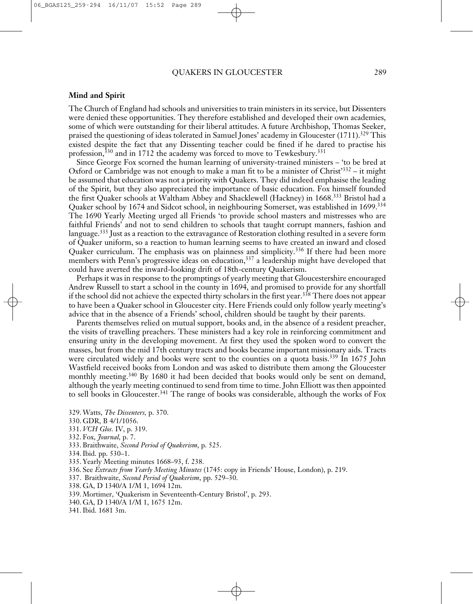# **Mind and Spirit**

The Church of England had schools and universities to train ministers in its service, but Dissenters were denied these opportunities. They therefore established and developed their own academies, some of which were outstanding for their liberal attitudes. A future Archbishop, Thomas Seeker, praised the questioning of ideas tolerated in Samuel Jones' academy in Gloucester (1711). <sup>329</sup> This existed despite the fact that any Dissenting teacher could be fined if he dared to practise his profession,<sup>330</sup> and in 1712 the academy was forced to move to Tewkesbury.<sup>331</sup>

Since George Fox scorned the human learning of university-trained ministers – 'to be bred at Oxford or Cambridge was not enough to make a man fit to be a minister of Christ' <sup>332</sup> – it might be assumed that education was not a priority with Quakers. They did indeed emphasise the leading of the Spirit, but they also appreciated the importance of basic education. Fox himself founded the first Quaker schools at Waltham Abbey and Shacklewell (Hackney) in 1668. <sup>333</sup> Bristol had a Quaker school by 1674 and Sidcot school, in neighbouring Somerset, was established in 1699. 334 The 1690 Yearly Meeting urged all Friends 'to provide school masters and mistresses who are faithful Friends' and not to send children to schools that taught corrupt manners, fashion and language. <sup>335</sup> Just as a reaction to the extravagance of Restoration clothing resulted in a severe form of Quaker uniform, so a reaction to human learning seems to have created an inward and closed Quaker curriculum. The emphasis was on plainness and simplicity.<sup>336</sup> If there had been more members with Penn's progressive ideas on education, <sup>337</sup> a leadership might have developed that could have averted the inward-looking drift of 18th-century Quakerism.

Perhaps it was in response to the promptings of yearly meeting that Gloucestershire encouraged Andrew Russell to start a school in the county in 1694, and promised to provide for any shortfall if the school did not achieve the expected thirty scholars in the first year. <sup>338</sup> There does not appear to have been a Quaker school in Gloucester city. Here Friends could only follow yearly meeting's advice that in the absence of a Friends' school, children should be taught by their parents.

Parents themselves relied on mutual support, books and, in the absence of a resident preacher, the visits of travelling preachers. These ministers had a key role in reinforcing commitment and ensuring unity in the developing movement. At first they used the spoken word to convert the masses, but from the mid 17th century tracts and books became important missionary aids. Tracts were circulated widely and books were sent to the counties on a quota basis.<sup>339</sup> In 1675 John Wastfield received books from London and was asked to distribute them among the Gloucester monthly meeting. <sup>340</sup> By 1680 it had been decided that books would only be sent on demand, although the yearly meeting continued to send from time to time. John Elliott was then appointed to sell books in Gloucester. <sup>341</sup> The range of books was considerable, although the works of Fox

- 329. Watts, *The Dissenters,* p. 370.
- 330. GDR, B 4/1/1056.
- 331. *VCH Glos.* IV, p. 319.
- 332. Fox, *Journal,* p. 7.
- 333. Braithwaite, *Second Period of Quakerism*, p. 525.
- 334.Ibid. pp. 530–1.
- 335. Yearly Meeting minutes 1668–93, f. 238.
- 336. See *Extracts from Yearly Meeting Minutes* (1745: copy in Friends' House, London), p. 219.
- 337. Braithwaite, *Second Period of Quakerism*, pp. 529–30.
- 338. GA, D 1340/A 1/M 1, 1694 12m.
- 339. Mortimer, 'Quakerism in Seventeenth-Century Bristol', p. 293.
- 340. GA, D 1340/A 1/M 1, 1675 12m.
- 341.Ibid. 1681 3m.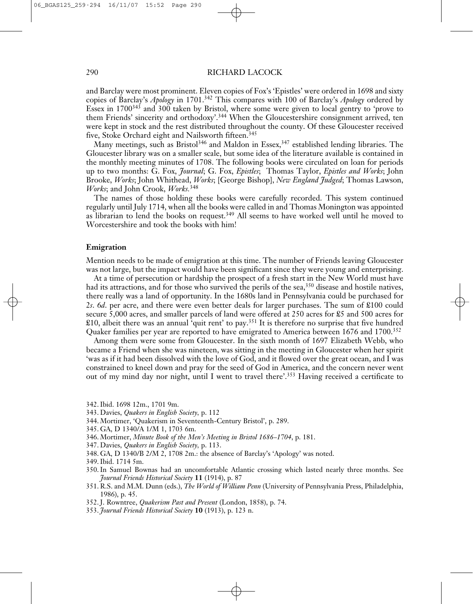and Barclay were most prominent. Eleven copies of Fox's 'Epistles' were ordered in 1698 and sixty copies of Barclay's *Apology* in 1701. <sup>342</sup> This compares with 100 of Barclay's *Apology* ordered by Essex in 1700343 and 300 taken by Bristol, where some were given to local gentry to 'prove to them Friends' sincerity and orthodoxy'.<sup>344</sup> When the Gloucestershire consignment arrived, ten were kept in stock and the rest distributed throughout the county. Of these Gloucester received five, Stoke Orchard eight and Nailsworth fifteen. 345

Many meetings, such as Bristol <sup>346</sup> and Maldon in Essex, <sup>347</sup> established lending libraries. The Gloucester library was on a smaller scale, but some idea of the literature available is contained in the monthly meeting minutes of 1708. The following books were circulated on loan for periods up to two months: G. Fox, *Journal*; G. Fox, *Epistles*; Thomas Taylor, *Epistles and Works*; John Brooke, *Works*; John Whithead, *Works*; [George Bishop], *New England Judged*; Thomas Lawson, *Works*; and John Crook, *Works.* 348

The names of those holding these books were carefully recorded. This system continued regularly until July 1714, when all the books were called in and Thomas Monington was appointed as librarian to lend the books on request.<sup>349</sup> All seems to have worked well until he moved to Worcestershire and took the books with him!

#### **Emigration**

Mention needs to be made of emigration at this time. The number of Friends leaving Gloucester was not large, but the impact would have been significant since they were young and enterprising.

At a time of persecution or hardship the prospect of a fresh start in the New World must have had its attractions, and for those who survived the perils of the sea, <sup>350</sup> disease and hostile natives, there really was a land of opportunity. In the 1680s land in Pennsylvania could be purchased for 2*s*. 6*d*. per acre, and there were even better deals for larger purchases. The sum of £100 could secure 5,000 acres, and smaller parcels of land were offered at 250 acres for £5 and 500 acres for  $\pounds10$ , albeit there was an annual 'quit rent' to pay.<sup>351</sup> It is therefore no surprise that five hundred Quaker families per year are reported to have emigrated to America between 1676 and 1700.<sup>352</sup>

Among them were some from Gloucester. In the sixth month of 1697 Elizabeth Webb, who became a Friend when she was nineteen, was sitting in the meeting in Gloucester when her spirit 'was as if it had been dissolved with the love of God, and it flowed over the great ocean, and I was constrained to kneel down and pray for the seed of God in America, and the concern never went out of my mind day nor night, until I went to travel there'. <sup>353</sup> Having received a certificate to

- 342.Ibid. 1698 12m., 1701 9m.
- 343. Davies, *Quakers in English Society,* p. 112
- 344. Mortimer, 'Quakerism in Seventeenth-Century Bristol', p. 289.
- 345. GA, D 1340/A 1/M 1, 1703 6m.
- 346. Mortimer, *Minute Book of the Men's Meeting in Bristol 1686–1704*, p. 181.
- 347. Davies, *Quakers in English Society,* p. 113.
- 348. GA, D 1340/B 2/M 2, 1708 2m.: the absence of Barclay's 'Apology' was noted.
- 349.Ibid. 1714 5m.
- 350.In Samuel Bownas had an uncomfortable Atlantic crossing which lasted nearly three months. See *Journal Friends Historical Society* **11** (1914), p. 87
- 351. R.S. and M.M. Dunn (eds.), *The World of William Penn* (University of Pennsylvania Press, Philadelphia, 1986), p. 45.
- 352.J. Rowntree, *Quakerism Past and Present* (London, 1858), p. 74.
- 353. *Journal Friends Historical Society* **10** (1913), p. 123 n.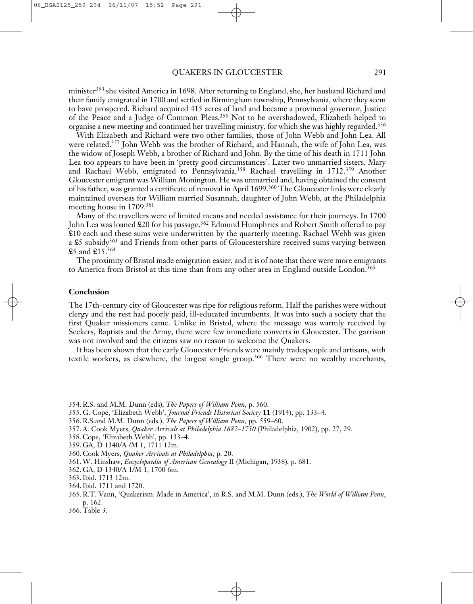minister<sup>354</sup> she visited America in 1698. After returning to England, she, her husband Richard and their family emigrated in 1700 and settled in Birmingham township, Pennsylvania, where they seem to have prospered. Richard acquired 415 acres of land and became a provincial governor, Justice of the Peace and a Judge of Common Pleas. <sup>355</sup> Not to be overshadowed, Elizabeth helped to organise a new meeting and continued her travelling ministry, for which she was highly regarded. 356

With Elizabeth and Richard were two other families, those of John Webb and John Lea. All were related. <sup>357</sup> John Webb was the brother of Richard, and Hannah, the wife of John Lea, was the widow of Joseph Webb, a brother of Richard and John. By the time of his death in 1711 John Lea too appears to have been in 'pretty good circumstances'. Later two unmarried sisters, Mary and Rachael Webb, emigrated to Pennsylvania, <sup>358</sup> Rachael travelling in 1712. <sup>359</sup> Another Gloucester emigrant was William Monington. He was unmarried and, having obtained the consent of his father, was granted a certificate of removal in April 1699. <sup>360</sup> The Gloucester links were clearly maintained overseas for William married Susannah, daughter of John Webb, at the Philadelphia meeting house in 1709. 361

Many of the travellers were of limited means and needed assistance for their journeys. In 1700 John Lea was loaned £20 for his passage. <sup>362</sup> Edmund Humphries and Robert Smith offered to pay £10 each and these sums were underwritten by the quarterly meeting. Rachael Webb was given a £5 subsidy<sup>363</sup> and Friends from other parts of Gloucestershire received sums varying between  $$5$  and  $$15.^{364}$ 

The proximity of Bristol made emigration easier, and it is of note that there were more emigrants to America from Bristol at this time than from any other area in England outside London.<sup>365</sup>

# **Conclusion**

The 17th-century city of Gloucester was ripe for religious reform. Half the parishes were without clergy and the rest had poorly paid, ill-educated incumbents. It was into such a society that the first Quaker missioners came. Unlike in Bristol, where the message was warmly received by Seekers, Baptists and the Army, there were few immediate converts in Gloucester. The garrison was not involved and the citizens saw no reason to welcome the Quakers.

It has been shown that the early Gloucester Friends were mainly tradespeople and artisans, with textile workers, as elsewhere, the largest single group. <sup>366</sup> There were no wealthy merchants,

- 354. R.S. and M.M. Dunn (eds), *The Papers of William Penn,* p. 560.
- 355. G. Cope, 'Elizabeth Webb', *Journal Friends Historical Society* **11** (1914), pp. 133–4.
- 356. R.S.and M.M. Dunn (eds.), *The Papers of William Penn,* pp. 559–60.
- 357. A. Cook Myers, *Quaker Arrivals at Philadelphia 1682–1750* (Philadelphia, 1902), pp. 27, 29.
- 358. Cope, 'Elizabeth Webb', pp. 133–4.
- 359. GA, D 1340/A /M 1, 1711 12m.
- 360. Cook Myers, *Quaker Arrivals at Philadelphia,* p. 20.
- 361. W. Hinshaw, *Encyclopaedia of American Genealogy* II (Michigan, 1938), p. 681.
- 362. GA, D 1340/A 1/M 1, 1700 6m.
- 363.Ibid. 1713 12m.
- 364.Ibid. 1711 and 1720.
- 365. R.T. Vann, 'Quakerism: Made in America', in R.S. and M.M. Dunn (eds.), *The World of William Penn*, p. 162.
- 366. Table 3.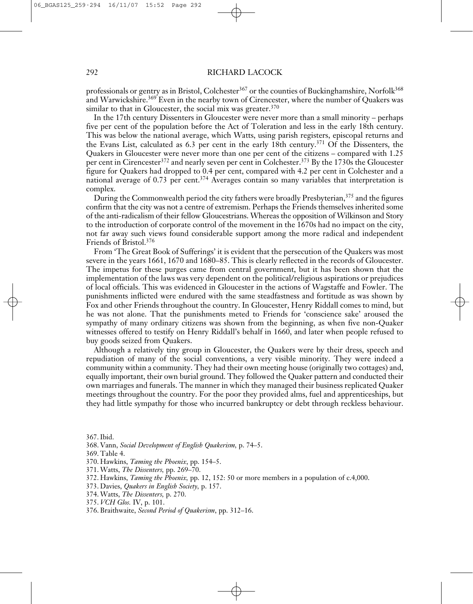professionals or gentry as in Bristol, Colchester<sup>367</sup> or the counties of Buckinghamshire, Norfolk<sup>368</sup> and Warwickshire.<sup>369</sup> Even in the nearby town of Cirencester, where the number of Quakers was similar to that in Gloucester, the social mix was greater.<sup>370</sup>

In the 17th century Dissenters in Gloucester were never more than a small minority – perhaps five per cent of the population before the Act of Toleration and less in the early 18th century. This was below the national average, which Watts, using parish registers, episcopal returns and the Evans List, calculated as 6.3 per cent in the early 18th century. <sup>371</sup> Of the Dissenters, the Quakers in Gloucester were never more than one per cent of the citizens – compared with 1.25 per cent in Cirencester<sup>372</sup> and nearly seven per cent in Colchester.<sup>373</sup> By the 1730s the Gloucester figure for Quakers had dropped to 0.4 per cent, compared with 4.2 per cent in Colchester and a national average of 0.73 per cent.<sup>374</sup> Averages contain so many variables that interpretation is complex.

During the Commonwealth period the city fathers were broadly Presbyterian, <sup>375</sup> and the figures confirm that the city was not a centre of extremism. Perhaps the Friends themselves inherited some of the anti-radicalism of their fellow Gloucestrians. Whereas the opposition of Wilkinson and Story to the introduction of corporate control of the movement in the 1670s had no impact on the city, not far away such views found considerable support among the more radical and independent Friends of Bristol. 376

From 'The Great Book of Sufferings' it is evident that the persecution of the Quakers was most severe in the years 1661, 1670 and 1680–85. This is clearly reflected in the records of Gloucester. The impetus for these purges came from central government, but it has been shown that the implementation of the laws was very dependent on the political/religious aspirations or prejudices of local officials. This was evidenced in Gloucester in the actions of Wagstaffe and Fowler. The punishments inflicted were endured with the same steadfastness and fortitude as was shown by Fox and other Friends throughout the country. In Gloucester, Henry Riddall comes to mind, but he was not alone. That the punishments meted to Friends for 'conscience sake' aroused the sympathy of many ordinary citizens was shown from the beginning, as when five non-Quaker witnesses offered to testify on Henry Riddall's behalf in 1660, and later when people refused to buy goods seized from Quakers.

Although a relatively tiny group in Gloucester, the Quakers were by their dress, speech and repudiation of many of the social conventions, a very visible minority. They were indeed a community within a community. They had their own meeting house (originally two cottages) and, equally important, their own burial ground. They followed the Quaker pattern and conducted their own marriages and funerals. The manner in which they managed their business replicated Quaker meetings throughout the country. For the poor they provided alms, fuel and apprenticeships, but they had little sympathy for those who incurred bankruptcy or debt through reckless behaviour.

367.Ibid.

- 371. Watts, *The Dissenters,* pp. 269–70.
- 372. Hawkins, *Taming the Phoenix,* pp. 12, 152: 50 or more members in a population of c.4,000.
- 373. Davies, *Quakers in English Society,* p. 157.
- 374. Watts, *The Dissenters,* p. 270.
- 375. *VCH Glos.* IV, p. 101.
- 376. Braithwaite, *Second Period of Quakerism*, pp. 312–16.

<sup>368.</sup> Vann, *Social Development of English Quakerism,* p. 74–5.

<sup>369.</sup> Table 4.

<sup>370.</sup> Hawkins, *Taming the Phoenix*, pp. 154–5.